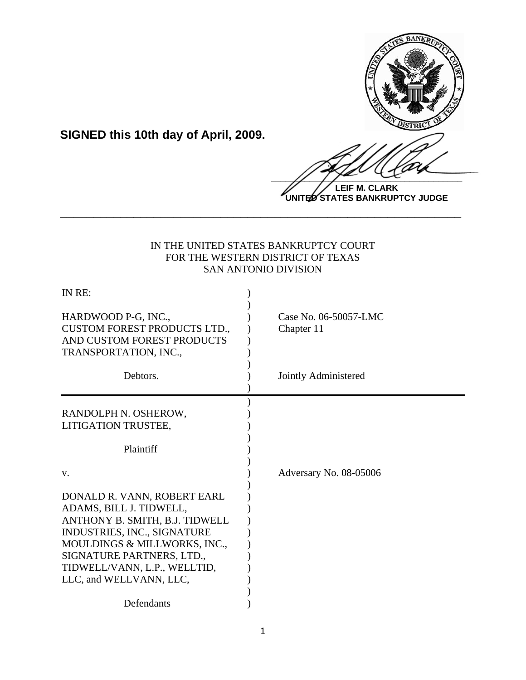

**LEIF M. CLARK UNITED STATES BANKRUPTCY JUDGE**

# IN THE UNITED STATES BANKRUPTCY COURT FOR THE WESTERN DISTRICT OF TEXAS SAN ANTONIO DIVISION

**\_\_\_\_\_\_\_\_\_\_\_\_\_\_\_\_\_\_\_\_\_\_\_\_\_\_\_\_\_\_\_\_\_\_\_\_\_\_\_\_\_\_\_\_\_\_\_\_\_\_\_\_\_\_\_\_\_\_\_\_**

**SIGNED this 10th day of April, 2009.**

| IN RE:                                                                                                                                                                                                                                          |                                     |
|-------------------------------------------------------------------------------------------------------------------------------------------------------------------------------------------------------------------------------------------------|-------------------------------------|
| HARDWOOD P-G, INC.,<br><b>CUSTOM FOREST PRODUCTS LTD.,</b><br>AND CUSTOM FOREST PRODUCTS<br>TRANSPORTATION, INC.,                                                                                                                               | Case No. 06-50057-LMC<br>Chapter 11 |
| Debtors.                                                                                                                                                                                                                                        | Jointly Administered                |
| RANDOLPH N. OSHEROW,<br>LITIGATION TRUSTEE,                                                                                                                                                                                                     |                                     |
| Plaintiff                                                                                                                                                                                                                                       |                                     |
| V.                                                                                                                                                                                                                                              | Adversary No. 08-05006              |
| DONALD R. VANN, ROBERT EARL<br>ADAMS, BILL J. TIDWELL,<br>ANTHONY B. SMITH, B.J. TIDWELL<br>INDUSTRIES, INC., SIGNATURE<br>MOULDINGS & MILLWORKS, INC.,<br>SIGNATURE PARTNERS, LTD.,<br>TIDWELL/VANN, L.P., WELLTID,<br>LLC, and WELLVANN, LLC, |                                     |
| Defendants                                                                                                                                                                                                                                      |                                     |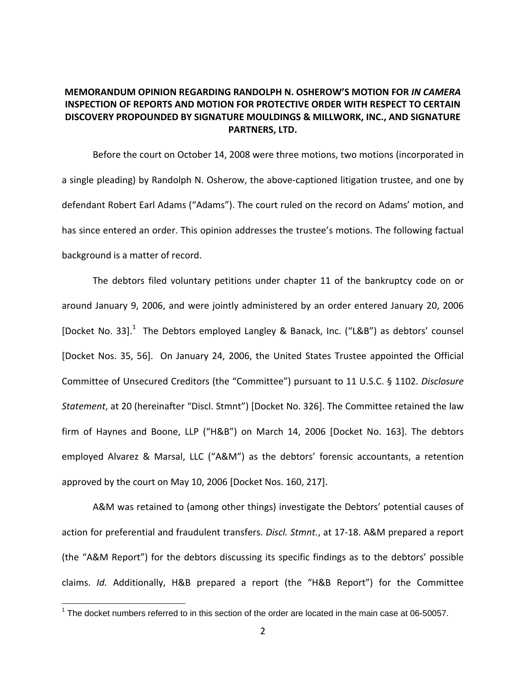# **MEMORANDUM OPINION REGARDING RANDOLPH N. OSHEROW'S MOTION FOR** *IN CAMERA* **INSPECTION OF REPORTS AND MOTION FOR PROTECTIVE ORDER WITH RESPECT TO CERTAIN DISCOVERY PROPOUNDED BY SIGNATURE MOULDINGS & MILLWORK, INC., AND SIGNATURE PARTNERS, LTD.**

Before the court on October 14, 2008 were three motions, two motions (incorporated in a single pleading) by Randolph N. Osherow, the above‐captioned litigation trustee, and one by defendant Robert Earl Adams ("Adams"). The court ruled on the record on Adams' motion, and has since entered an order. This opinion addresses the trustee's motions. The following factual background is a matter of record.

The debtors filed voluntary petitions under chapter 11 of the bankruptcy code on or around January 9, 2006, and were jointly administered by an order entered January 20, 2006 [Docket No. 33]. $^1$  The Debtors employed Langley & Banack, Inc. ("L&B") as debtors' counsel [Docket Nos. 35, 56]. On January 24, 2006, the United States Trustee appointed the Official Committee of Unsecured Creditors (the "Committee") pursuant to 11 U.S.C. § 1102. *Disclosure Statement*, at 20 (hereinafter "Discl. Stmnt") [Docket No. 326]. The Committee retained the law firm of Haynes and Boone, LLP ("H&B") on March 14, 2006 [Docket No. 163]. The debtors employed Alvarez & Marsal, LLC ("A&M") as the debtors' forensic accountants, a retention approved by the court on May 10, 2006 [Docket Nos. 160, 217].

A&M was retained to (among other things) investigate the Debtors' potential causes of action for preferential and fraudulent transfers. *Discl. Stmnt.*, at 17‐18. A&M prepared a report (the "A&M Report") for the debtors discussing its specific findings as to the debtors' possible claims. *Id.* Additionally, H&B prepared a report (the "H&B Report") for the Committee

The docket numbers referred to in this section of the order are located in the main case at 06-50057.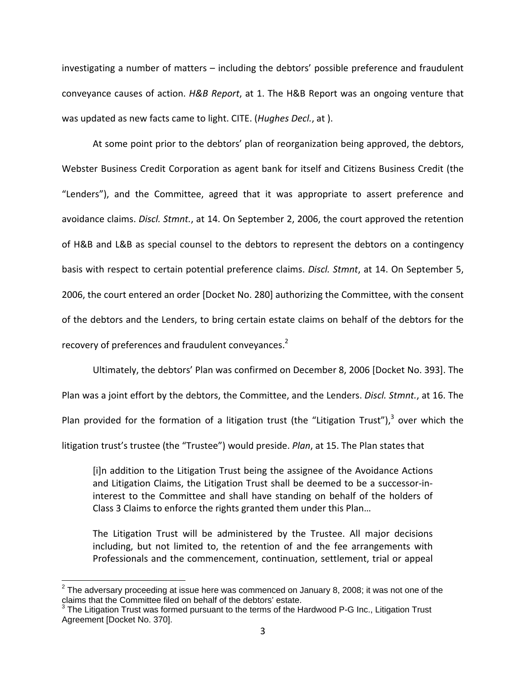investigating a number of matters – including the debtors' possible preference and fraudulent conveyance causes of action. *H&B Report*, at 1. The H&B Report was an ongoing venture that was updated as new facts came to light. CITE. (*Hughes Decl.*, at ).

At some point prior to the debtors' plan of reorganization being approved, the debtors, Webster Business Credit Corporation as agent bank for itself and Citizens Business Credit (the "Lenders"), and the Committee, agreed that it was appropriate to assert preference and avoidance claims. *Discl. Stmnt.*, at 14. On September 2, 2006, the court approved the retention of H&B and L&B as special counsel to the debtors to represent the debtors on a contingency basis with respect to certain potential preference claims. *Discl. Stmnt*, at 14. On September 5, 2006, the court entered an order [Docket No. 280] authorizing the Committee, with the consent of the debtors and the Lenders, to bring certain estate claims on behalf of the debtors for the recovery of preferences and fraudulent conveyances.<sup>2</sup>

Ultimately, the debtors' Plan was confirmed on December 8, 2006 [Docket No. 393]. The Plan was a joint effort by the debtors, the Committee, and the Lenders. *Discl. Stmnt.*, at 16. The Plan provided for the formation of a litigation trust (the "Litigation Trust"), $3$  over which the litigation trust's trustee (the "Trustee") would preside. *Plan*, at 15. The Plan states that

[i]n addition to the Litigation Trust being the assignee of the Avoidance Actions and Litigation Claims, the Litigation Trust shall be deemed to be a successor‐in‐ interest to the Committee and shall have standing on behalf of the holders of Class 3 Claims to enforce the rights granted them under this Plan…

The Litigation Trust will be administered by the Trustee. All major decisions including, but not limited to, the retention of and the fee arrangements with Professionals and the commencement, continuation, settlement, trial or appeal

 $\overline{a}$ 

 $^2$  The adversary proceeding at issue here was commenced on January 8, 2008; it was not one of the claims that the Committee filed on behalf of the debtors' estate.

 $3$  The Litigation Trust was formed pursuant to the terms of the Hardwood P-G Inc., Litigation Trust Agreement [Docket No. 370].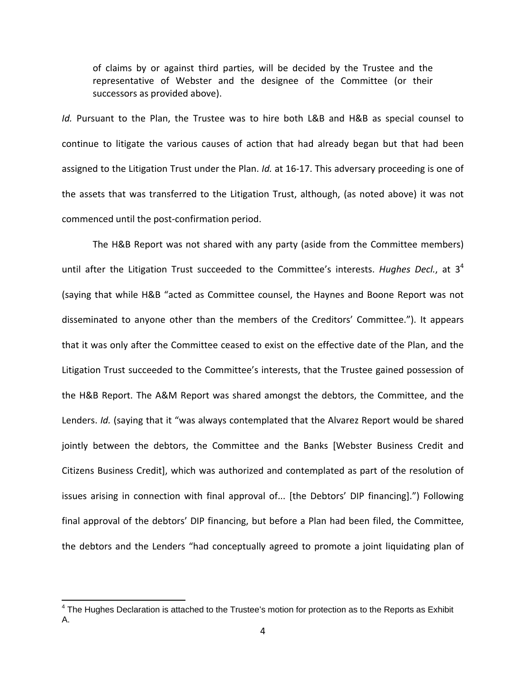of claims by or against third parties, will be decided by the Trustee and the representative of Webster and the designee of the Committee (or their successors as provided above).

*Id.* Pursuant to the Plan, the Trustee was to hire both L&B and H&B as special counsel to continue to litigate the various causes of action that had already began but that had been assigned to the Litigation Trust under the Plan. *Id.* at 16‐17. This adversary proceeding is one of the assets that was transferred to the Litigation Trust, although, (as noted above) it was not commenced until the post‐confirmation period.

The H&B Report was not shared with any party (aside from the Committee members) until after the Litigation Trust succeeded to the Committee's interests. *Hughes Decl.*, at 3<sup>4</sup> (saying that while H&B "acted as Committee counsel, the Haynes and Boone Report was not disseminated to anyone other than the members of the Creditors' Committee."). It appears that it was only after the Committee ceased to exist on the effective date of the Plan, and the Litigation Trust succeeded to the Committee's interests, that the Trustee gained possession of the H&B Report. The A&M Report was shared amongst the debtors, the Committee, and the Lenders. *Id.* (saying that it "was always contemplated that the Alvarez Report would be shared jointly between the debtors, the Committee and the Banks [Webster Business Credit and Citizens Business Credit], which was authorized and contemplated as part of the resolution of issues arising in connection with final approval of... [the Debtors' DIP financing].") Following final approval of the debtors' DIP financing, but before a Plan had been filed, the Committee, the debtors and the Lenders "had conceptually agreed to promote a joint liquidating plan of

 $4$  The Hughes Declaration is attached to the Trustee's motion for protection as to the Reports as Exhibit A.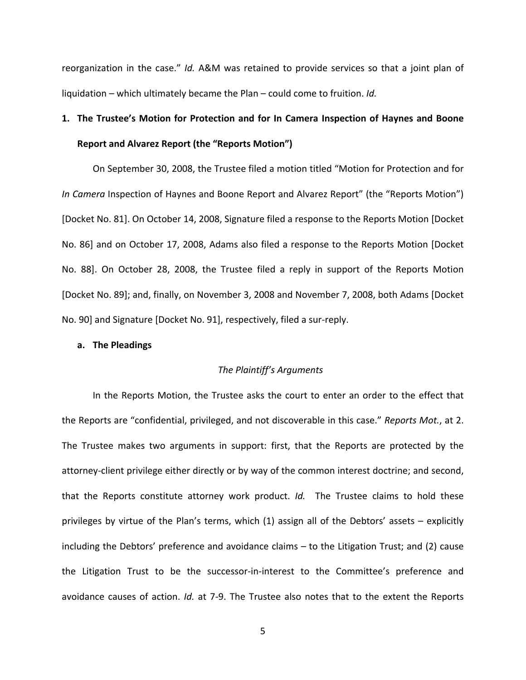reorganization in the case." *Id.* A&M was retained to provide services so that a joint plan of liquidation – which ultimately became the Plan – could come to fruition. *Id.*

# **1. The Trustee's Motion for Protection and for In Camera Inspection of Haynes and Boone Report and Alvarez Report (the "Reports Motion")**

On September 30, 2008, the Trustee filed a motion titled "Motion for Protection and for *In Camera* Inspection of Haynes and Boone Report and Alvarez Report" (the "Reports Motion") [Docket No. 81]. On October 14, 2008, Signature filed a response to the Reports Motion [Docket No. 86] and on October 17, 2008, Adams also filed a response to the Reports Motion [Docket No. 88]. On October 28, 2008, the Trustee filed a reply in support of the Reports Motion [Docket No. 89]; and, finally, on November 3, 2008 and November 7, 2008, both Adams [Docket No. 90] and Signature [Docket No. 91], respectively, filed a sur‐reply.

#### **a. The Pleadings**

#### *The Plaintiff's Arguments*

In the Reports Motion, the Trustee asks the court to enter an order to the effect that the Reports are "confidential, privileged, and not discoverable in this case." *Reports Mot.*, at 2. The Trustee makes two arguments in support: first, that the Reports are protected by the attorney‐client privilege either directly or by way of the common interest doctrine; and second, that the Reports constitute attorney work product. *Id.* The Trustee claims to hold these privileges by virtue of the Plan's terms, which (1) assign all of the Debtors' assets – explicitly including the Debtors' preference and avoidance claims – to the Litigation Trust; and (2) cause the Litigation Trust to be the successor‐in‐interest to the Committee's preference and avoidance causes of action. *Id.* at 7‐9. The Trustee also notes that to the extent the Reports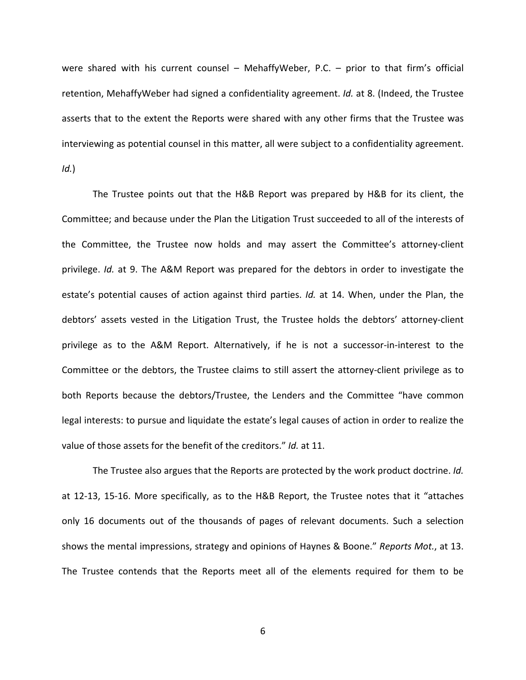were shared with his current counsel – MehaffyWeber, P.C. – prior to that firm's official retention, MehaffyWeber had signed a confidentiality agreement. *Id.* at 8. (Indeed, the Trustee asserts that to the extent the Reports were shared with any other firms that the Trustee was interviewing as potential counsel in this matter, all were subject to a confidentiality agreement. *Id.*)

The Trustee points out that the H&B Report was prepared by H&B for its client, the Committee; and because under the Plan the Litigation Trust succeeded to all of the interests of the Committee, the Trustee now holds and may assert the Committee's attorney‐client privilege. *Id.* at 9. The A&M Report was prepared for the debtors in order to investigate the estate's potential causes of action against third parties. *Id.* at 14. When, under the Plan, the debtors' assets vested in the Litigation Trust, the Trustee holds the debtors' attorney‐client privilege as to the A&M Report. Alternatively, if he is not a successor‐in‐interest to the Committee or the debtors, the Trustee claims to still assert the attorney‐client privilege as to both Reports because the debtors/Trustee, the Lenders and the Committee "have common legal interests: to pursue and liquidate the estate's legal causes of action in order to realize the value of those assets for the benefit of the creditors." *Id.* at 11.

The Trustee also argues that the Reports are protected by the work product doctrine. *Id.* at 12‐13, 15‐16. More specifically, as to the H&B Report, the Trustee notes that it "attaches only 16 documents out of the thousands of pages of relevant documents. Such a selection shows the mental impressions, strategy and opinions of Haynes & Boone." *Reports Mot.*, at 13. The Trustee contends that the Reports meet all of the elements required for them to be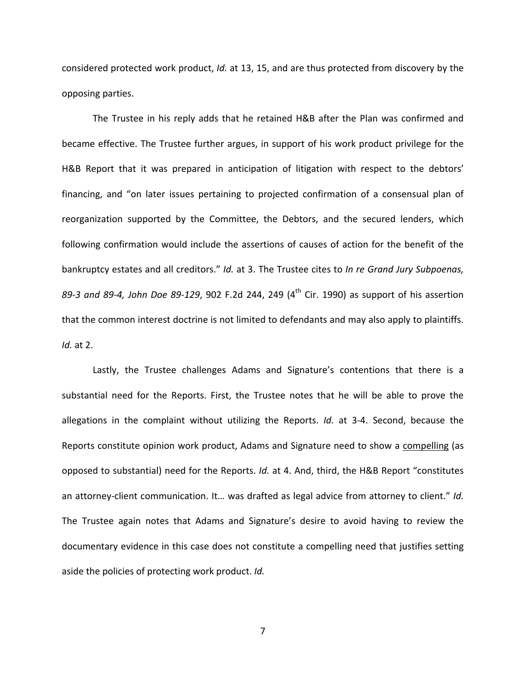considered protected work product, *Id.* at 13, 15, and are thus protected from discovery by the opposing parties.

The Trustee in his reply adds that he retained H&B after the Plan was confirmed and became effective. The Trustee further argues, in support of his work product privilege for the H&B Report that it was prepared in anticipation of litigation with respect to the debtors' financing, and "on later issues pertaining to projected confirmation of a consensual plan of reorganization supported by the Committee, the Debtors, and the secured lenders, which following confirmation would include the assertions of causes of action for the benefit of the bankruptcy estates and all creditors." *Id.* at 3. The Trustee cites to *In re Grand Jury Subpoenas, 89‐3 and 89‐4, John Doe 89‐129*, 902 F.2d 244, 249 (4th Cir. 1990) as support of his assertion that the common interest doctrine is not limited to defendants and may also apply to plaintiffs. *Id.* at 2.

Lastly, the Trustee challenges Adams and Signature's contentions that there is a substantial need for the Reports. First, the Trustee notes that he will be able to prove the allegations in the complaint without utilizing the Reports. *Id.* at 3‐4. Second, because the Reports constitute opinion work product, Adams and Signature need to show a compelling (as opposed to substantial) need for the Reports. *Id.* at 4. And, third, the H&B Report "constitutes an attorney‐client communication. It… was drafted as legal advice from attorney to client." *Id.* The Trustee again notes that Adams and Signature's desire to avoid having to review the documentary evidence in this case does not constitute a compelling need that justifies setting aside the policies of protecting work product. *Id.*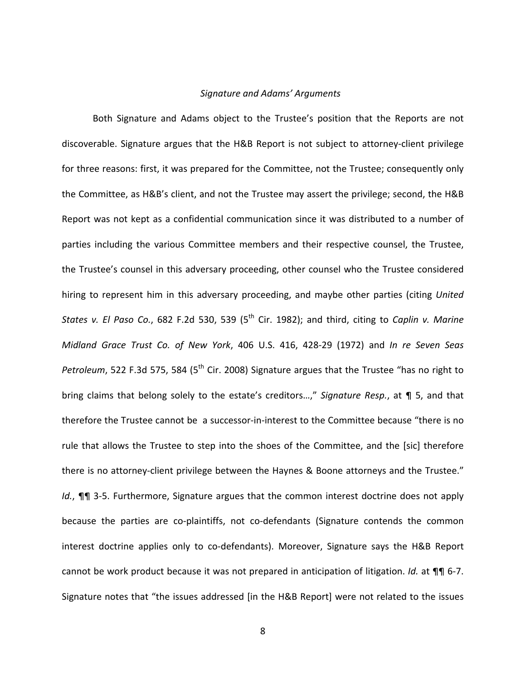#### *Signature and Adams' Arguments*

Both Signature and Adams object to the Trustee's position that the Reports are not discoverable. Signature argues that the H&B Report is not subject to attorney‐client privilege for three reasons: first, it was prepared for the Committee, not the Trustee; consequently only the Committee, as H&B's client, and not the Trustee may assert the privilege; second, the H&B Report was not kept as a confidential communication since it was distributed to a number of parties including the various Committee members and their respective counsel, the Trustee, the Trustee's counsel in this adversary proceeding, other counsel who the Trustee considered hiring to represent him in this adversary proceeding, and maybe other parties (citing *United States v. El Paso Co.*, 682 F.2d 530, 539 (5th Cir. 1982); and third, citing to *Caplin v. Marine Midland Grace Trust Co. of New York*, 406 U.S. 416, 428‐29 (1972) and *In re Seven Seas Petroleum*, 522 F.3d 575, 584 (5<sup>th</sup> Cir. 2008) Signature argues that the Trustee "has no right to bring claims that belong solely to the estate's creditors…," *Signature Resp.*, at ¶ 5, and that therefore the Trustee cannot be a successor‐in‐interest to the Committee because "there is no rule that allows the Trustee to step into the shoes of the Committee, and the [sic] therefore there is no attorney-client privilege between the Haynes & Boone attorneys and the Trustee." *Id.*, **¶** 3-5. Furthermore, Signature argues that the common interest doctrine does not apply because the parties are co-plaintiffs, not co-defendants (Signature contends the common interest doctrine applies only to co-defendants). Moreover, Signature says the H&B Report cannot be work product because it was not prepared in anticipation of litigation. *Id.* at ¶¶ 6‐7. Signature notes that "the issues addressed [in the H&B Report] were not related to the issues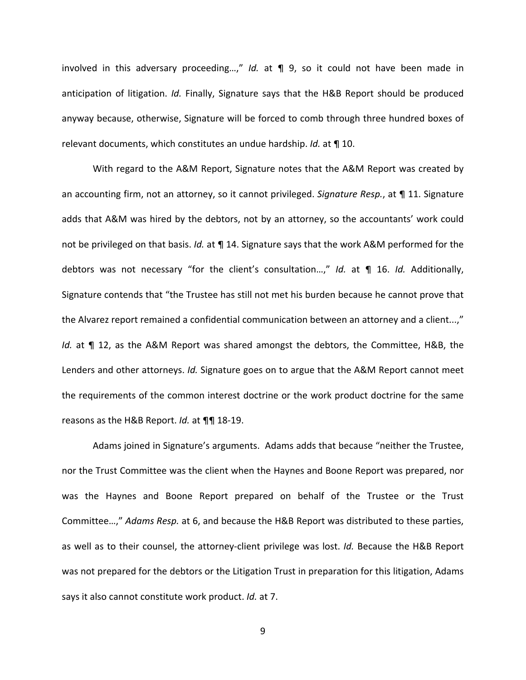involved in this adversary proceeding…," *Id.* at ¶ 9, so it could not have been made in anticipation of litigation. *Id.* Finally, Signature says that the H&B Report should be produced anyway because, otherwise, Signature will be forced to comb through three hundred boxes of relevant documents, which constitutes an undue hardship. *Id.* at ¶ 10.

With regard to the A&M Report, Signature notes that the A&M Report was created by an accounting firm, not an attorney, so it cannot privileged. *Signature Resp.*, at ¶ 11. Signature adds that A&M was hired by the debtors, not by an attorney, so the accountants' work could not be privileged on that basis. *Id.* at ¶ 14. Signature says that the work A&M performed for the debtors was not necessary "for the client's consultation…," *Id.* at ¶ 16. *Id.* Additionally, Signature contends that "the Trustee has still not met his burden because he cannot prove that the Alvarez report remained a confidential communication between an attorney and a client...," *Id.* at ¶ 12, as the A&M Report was shared amongst the debtors, the Committee, H&B, the Lenders and other attorneys. *Id.* Signature goes on to argue that the A&M Report cannot meet the requirements of the common interest doctrine or the work product doctrine for the same reasons as the H&B Report. *Id.* at ¶¶ 18‐19.

Adams joined in Signature's arguments. Adams adds that because "neither the Trustee, nor the Trust Committee was the client when the Haynes and Boone Report was prepared, nor was the Haynes and Boone Report prepared on behalf of the Trustee or the Trust Committee…," *Adams Resp.* at 6, and because the H&B Report was distributed to these parties, as well as to their counsel, the attorney-client privilege was lost. *Id.* Because the H&B Report was not prepared for the debtors or the Litigation Trust in preparation for this litigation, Adams says it also cannot constitute work product. *Id.* at 7.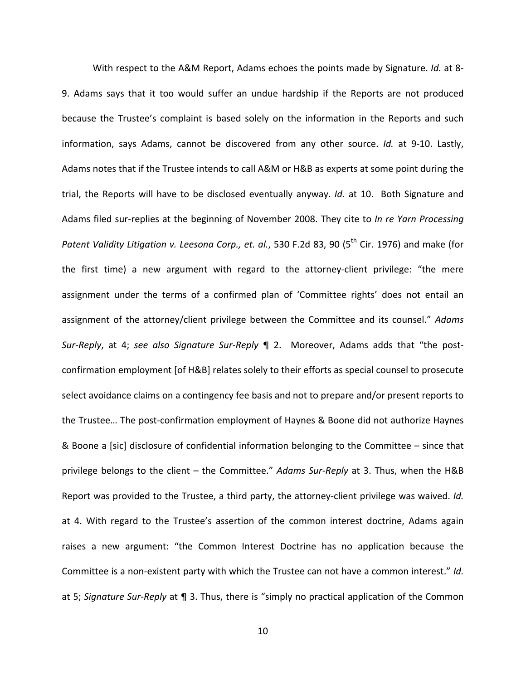With respect to the A&M Report, Adams echoes the points made by Signature. *Id.* at 8‐ 9. Adams says that it too would suffer an undue hardship if the Reports are not produced because the Trustee's complaint is based solely on the information in the Reports and such information, says Adams, cannot be discovered from any other source. *Id.* at 9‐10. Lastly, Adams notes that if the Trustee intends to call A&M or H&B as experts at some point during the trial, the Reports will have to be disclosed eventually anyway. *Id.* at 10. Both Signature and Adams filed sur‐replies at the beginning of November 2008. They cite to *In re Yarn Processing Patent Validity Litigation v. Leesona Corp., et. al.*, 530 F.2d 83, 90 (5th Cir. 1976) and make (for the first time) a new argument with regard to the attorney-client privilege: "the mere assignment under the terms of a confirmed plan of 'Committee rights' does not entail an assignment of the attorney/client privilege between the Committee and its counsel." *Adams Sur‐Reply*, at 4; *see also Signature Sur‐Reply* ¶ 2. Moreover, Adams adds that "the post‐ confirmation employment [of H&B] relates solely to their efforts as special counsel to prosecute select avoidance claims on a contingency fee basis and not to prepare and/or present reports to the Trustee... The post-confirmation employment of Haynes & Boone did not authorize Haynes & Boone a [sic] disclosure of confidential information belonging to the Committee – since that privilege belongs to the client – the Committee." *Adams Sur‐Reply* at 3. Thus, when the H&B Report was provided to the Trustee, a third party, the attorney‐client privilege was waived. *Id.* at 4. With regard to the Trustee's assertion of the common interest doctrine, Adams again raises a new argument: "the Common Interest Doctrine has no application because the Committee is a non‐existent party with which the Trustee can not have a common interest." *Id.* at 5; *Signature Sur‐Reply* at ¶ 3. Thus, there is "simply no practical application of the Common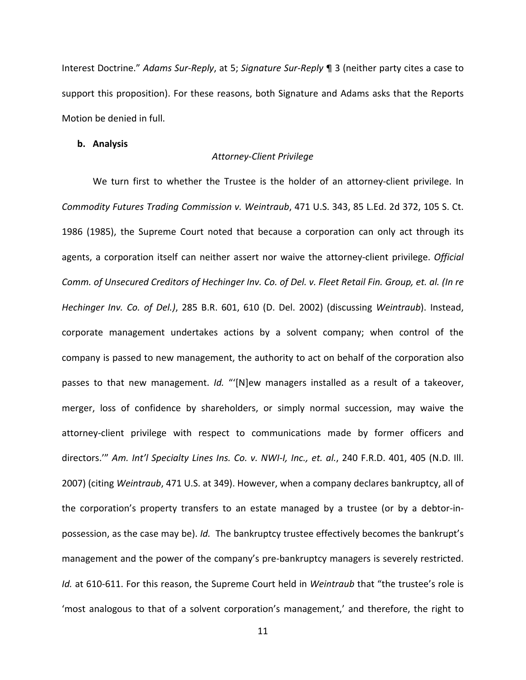Interest Doctrine." *Adams Sur‐Reply*, at 5; *Signature Sur‐Reply* ¶ 3 (neither party cites a case to support this proposition). For these reasons, both Signature and Adams asks that the Reports Motion be denied in full.

#### **b. Analysis**

#### *Attorney‐Client Privilege*

We turn first to whether the Trustee is the holder of an attorney-client privilege. In *Commodity Futures Trading Commission v. Weintraub*, 471 U.S. 343, 85 L.Ed. 2d 372, 105 S. Ct. 1986 (1985), the Supreme Court noted that because a corporation can only act through its agents, a corporation itself can neither assert nor waive the attorney‐client privilege. *Official* Comm. of Unsecured Creditors of Hechinger Inv. Co. of Del. v. Fleet Retail Fin. Group, et. al. (In re *Hechinger Inv. Co. of Del.)*, 285 B.R. 601, 610 (D. Del. 2002) (discussing *Weintraub*). Instead, corporate management undertakes actions by a solvent company; when control of the company is passed to new management, the authority to act on behalf of the corporation also passes to that new management. *Id.* "'[N]ew managers installed as a result of a takeover, merger, loss of confidence by shareholders, or simply normal succession, may waive the attorney‐client privilege with respect to communications made by former officers and directors.'" *Am. Int'l Specialty Lines Ins. Co. v. NWI‐I, Inc., et. al.*, 240 F.R.D. 401, 405 (N.D. Ill. 2007) (citing *Weintraub*, 471 U.S. at 349). However, when a company declares bankruptcy, all of the corporation's property transfers to an estate managed by a trustee (or by a debtor‐in‐ possession, as the case may be). *Id.* The bankruptcy trustee effectively becomes the bankrupt's management and the power of the company's pre-bankruptcy managers is severely restricted. *Id.* at 610‐611. For this reason, the Supreme Court held in *Weintraub* that "the trustee's role is 'most analogous to that of a solvent corporation's management,' and therefore, the right to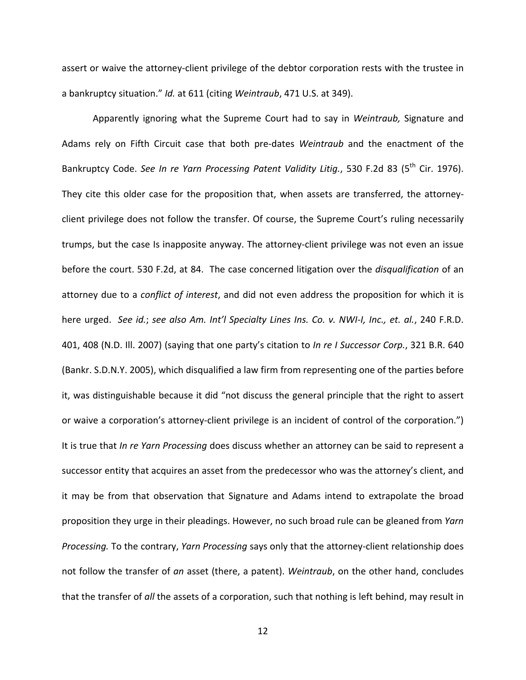assert or waive the attorney‐client privilege of the debtor corporation rests with the trustee in a bankruptcy situation." *Id.* at 611 (citing *Weintraub*, 471 U.S. at 349).

Apparently ignoring what the Supreme Court had to say in *Weintraub,* Signature and Adams rely on Fifth Circuit case that both pre‐dates *Weintraub* and the enactment of the Bankruptcy Code. *See In re Yarn Processing Patent Validity Litig.*, 530 F.2d 83 (5th Cir. 1976). They cite this older case for the proposition that, when assets are transferred, the attorney‐ client privilege does not follow the transfer. Of course, the Supreme Court's ruling necessarily trumps, but the case Is inapposite anyway. The attorney‐client privilege was not even an issue before the court. 530 F.2d, at 84. The case concerned litigation over the *disqualification* of an attorney due to a *conflict of interest*, and did not even address the proposition for which it is here urged. *See id.*; *see also Am. Int'l Specialty Lines Ins. Co. v. NWI‐I, Inc., et. al.*, 240 F.R.D. 401, 408 (N.D. Ill. 2007) (saying that one party's citation to *In re I Successor Corp.*, 321 B.R. 640 (Bankr. S.D.N.Y. 2005), which disqualified a law firm from representing one of the parties before it, was distinguishable because it did "not discuss the general principle that the right to assert or waive a corporation's attorney‐client privilege is an incident of control of the corporation.") It is true that *In re Yarn Processing* does discuss whether an attorney can be said to represent a successor entity that acquires an asset from the predecessor who was the attorney's client, and it may be from that observation that Signature and Adams intend to extrapolate the broad proposition they urge in their pleadings. However, no such broad rule can be gleaned from *Yarn Processing.* To the contrary, *Yarn Processing* says only that the attorney‐client relationship does not follow the transfer of *an* asset (there, a patent). *Weintraub*, on the other hand, concludes that the transfer of *all* the assets of a corporation, such that nothing is left behind, may result in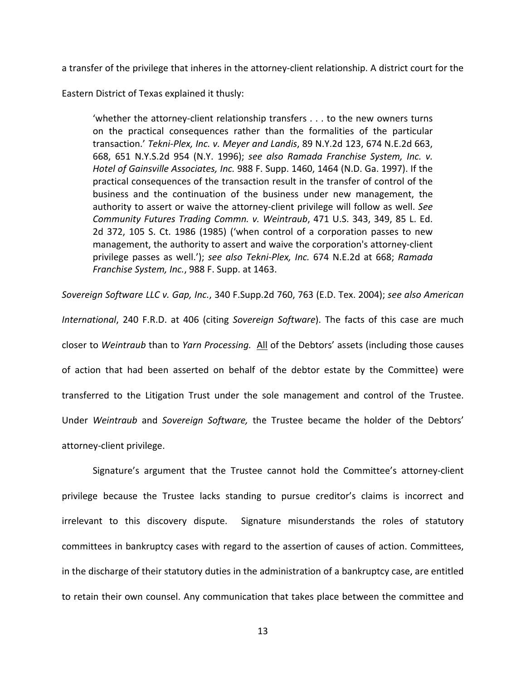a transfer of the privilege that inheres in the attorney‐client relationship. A district court for the

Eastern District of Texas explained it thusly:

'whether the attorney‐client relationship transfers . . . to the new owners turns on the practical consequences rather than the formalities of the particular transaction.' *Tekni‐Plex, Inc. v. Meyer and Landis*, 89 N.Y.2d 123, 674 N.E.2d 663, 668, 651 N.Y.S.2d 954 (N.Y. 1996); *see also Ramada Franchise System, Inc. v. Hotel of Gainsville Associates, Inc.* 988 F. Supp. 1460, 1464 (N.D. Ga. 1997). If the practical consequences of the transaction result in the transfer of control of the business and the continuation of the business under new management, the authority to assert or waive the attorney‐client privilege will follow as well. *See Community Futures Trading Commn. v. Weintraub*, 471 U.S. 343, 349, 85 L. Ed. 2d 372, 105 S. Ct. 1986 (1985) ('when control of a corporation passes to new management, the authority to assert and waive the corporation's attorney‐client privilege passes as well.'); *see also Tekni‐Plex, Inc.* 674 N.E.2d at 668; *Ramada Franchise System, Inc.*, 988 F. Supp. at 1463.

*Sovereign Software LLC v. Gap, Inc.*, 340 F.Supp.2d 760, 763 (E.D. Tex. 2004); *see also American International*, 240 F.R.D. at 406 (citing *Sovereign Software*). The facts of this case are much closer to *Weintraub* than to *Yarn Processing.* All of the Debtors' assets (including those causes of action that had been asserted on behalf of the debtor estate by the Committee) were transferred to the Litigation Trust under the sole management and control of the Trustee. Under *Weintraub* and *Sovereign Software,* the Trustee became the holder of the Debtors' attorney‐client privilege.

Signature's argument that the Trustee cannot hold the Committee's attorney‐client privilege because the Trustee lacks standing to pursue creditor's claims is incorrect and irrelevant to this discovery dispute. Signature misunderstands the roles of statutory committees in bankruptcy cases with regard to the assertion of causes of action. Committees, in the discharge of their statutory duties in the administration of a bankruptcy case, are entitled to retain their own counsel. Any communication that takes place between the committee and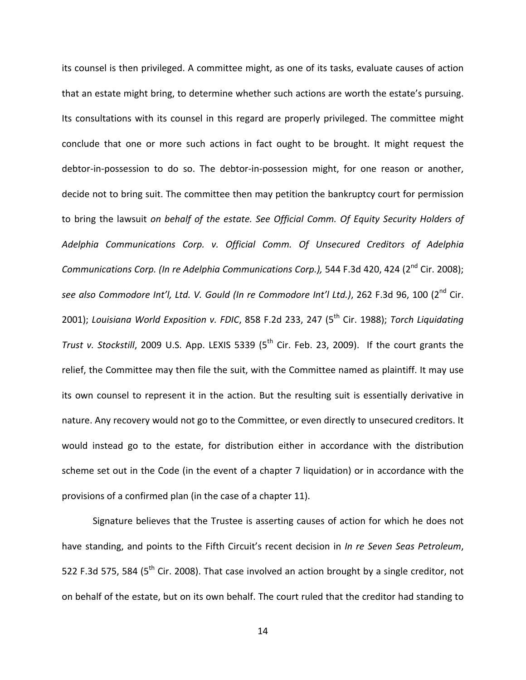its counsel is then privileged. A committee might, as one of its tasks, evaluate causes of action that an estate might bring, to determine whether such actions are worth the estate's pursuing. Its consultations with its counsel in this regard are properly privileged. The committee might conclude that one or more such actions in fact ought to be brought. It might request the debtor-in-possession to do so. The debtor-in-possession might, for one reason or another, decide not to bring suit. The committee then may petition the bankruptcy court for permission to bring the lawsuit *on behalf of the estate. See Official Comm. Of Equity Security Holders of Adelphia Communications Corp. v. Official Comm. Of Unsecured Creditors of Adelphia Communications Corp. (In re Adelphia Communications Corp.),* 544 F.3d 420, 424 (2nd Cir. 2008); *see also Commodore Int'l, Ltd. V. Gould (In re Commodore Int'l Ltd.)*, 262 F.3d 96, 100 (2nd Cir. 2001); *Louisiana World Exposition v. FDIC*, 858 F.2d 233, 247 (5th Cir. 1988); *Torch Liquidating Trust v. Stockstill*, 2009 U.S. App. LEXIS 5339 (5<sup>th</sup> Cir. Feb. 23, 2009). If the court grants the relief, the Committee may then file the suit, with the Committee named as plaintiff. It may use its own counsel to represent it in the action. But the resulting suit is essentially derivative in nature. Any recovery would not go to the Committee, or even directly to unsecured creditors. It would instead go to the estate, for distribution either in accordance with the distribution scheme set out in the Code (in the event of a chapter 7 liquidation) or in accordance with the provisions of a confirmed plan (in the case of a chapter 11).

Signature believes that the Trustee is asserting causes of action for which he does not have standing, and points to the Fifth Circuit's recent decision in *In re Seven Seas Petroleum*, 522 F.3d 575, 584 (5<sup>th</sup> Cir. 2008). That case involved an action brought by a single creditor, not on behalf of the estate, but on its own behalf. The court ruled that the creditor had standing to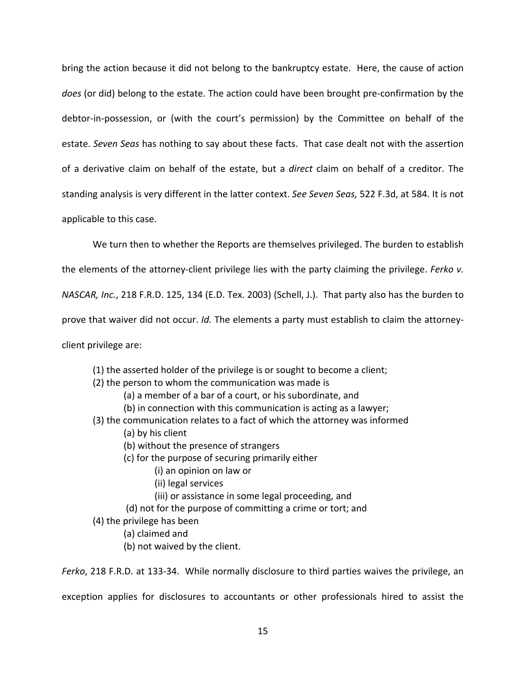bring the action because it did not belong to the bankruptcy estate. Here, the cause of action *does* (or did) belong to the estate. The action could have been brought pre‐confirmation by the debtor-in-possession, or (with the court's permission) by the Committee on behalf of the estate. *Seven Seas* has nothing to say about these facts. That case dealt not with the assertion of a derivative claim on behalf of the estate, but a *direct* claim on behalf of a creditor. The standing analysis is very different in the latter context. *See Seven Seas,* 522 F.3d, at 584. It is not applicable to this case.

We turn then to whether the Reports are themselves privileged. The burden to establish

the elements of the attorney‐client privilege lies with the party claiming the privilege. *Ferko v.*

*NASCAR, Inc.*, 218 F.R.D. 125, 134 (E.D. Tex. 2003) (Schell, J.). That party also has the burden to

prove that waiver did not occur. *Id.* The elements a party must establish to claim the attorney-

client privilege are:

- (1) the asserted holder of the privilege is or sought to become a client;
- (2) the person to whom the communication was made is
	- (a) a member of a bar of a court, or his subordinate, and
	- (b) in connection with this communication is acting as a lawyer;
- (3) the communication relates to a fact of which the attorney was informed
	- (a) by his client
	- (b) without the presence of strangers
	- (c) for the purpose of securing primarily either
		- (i) an opinion on law or
		- (ii) legal services
		- (iii) or assistance in some legal proceeding, and
	- (d) not for the purpose of committing a crime or tort; and
- (4) the privilege has been
	- (a) claimed and
	- (b) not waived by the client.

*Ferko*, 218 F.R.D. at 133‐34.While normally disclosure to third parties waives the privilege, an

exception applies for disclosures to accountants or other professionals hired to assist the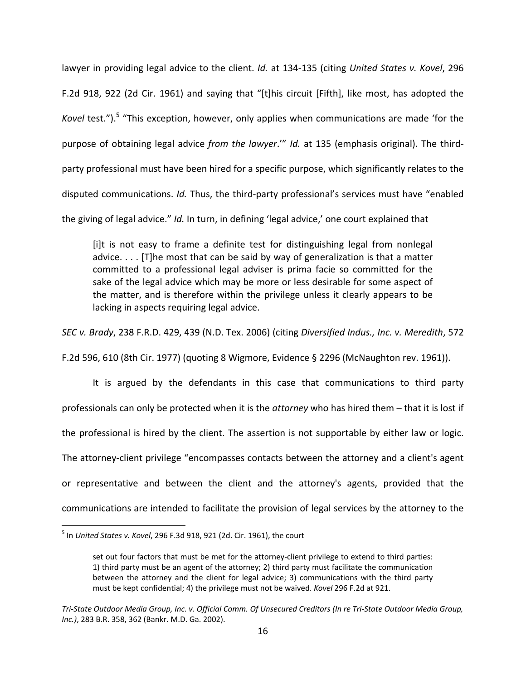lawyer in providing legal advice to the client. *Id.* at 134‐135 (citing *United States v. Kovel*, 296 F.2d 918, 922 (2d Cir. 1961) and saying that "[t]his circuit [Fifth], like most, has adopted the *Kovel* test.").<sup>5</sup> "This exception, however, only applies when communications are made 'for the purpose of obtaining legal advice *from the lawyer*.'" *Id.* at 135 (emphasis original). The third‐ party professional must have been hired for a specific purpose, which significantly relates to the disputed communications. *Id.* Thus, the third‐party professional's services must have "enabled

the giving of legal advice." *Id.* In turn, in defining 'legal advice,' one court explained that

[i]t is not easy to frame a definite test for distinguishing legal from nonlegal advice. . . . [T]he most that can be said by way of generalization is that a matter committed to a professional legal adviser is prima facie so committed for the sake of the legal advice which may be more or less desirable for some aspect of the matter, and is therefore within the privilege unless it clearly appears to be lacking in aspects requiring legal advice.

*SEC v. Brady*, 238 F.R.D. 429, 439 (N.D. Tex. 2006) (citing *Diversified Indus., Inc. v. Meredith*, 572

F.2d 596, 610 (8th Cir. 1977) (quoting 8 Wigmore, Evidence § 2296 (McNaughton rev. 1961)).

It is argued by the defendants in this case that communications to third party professionals can only be protected when it is the *attorney* who has hired them – that it is lost if the professional is hired by the client. The assertion is not supportable by either law or logic. The attorney-client privilege "encompasses contacts between the attorney and a client's agent or representative and between the client and the attorney's agents, provided that the communications are intended to facilitate the provision of legal services by the attorney to the

 $\overline{a}$ 

<sup>5</sup> In *United States v. Kovel*, 296 F.3d 918, 921 (2d. Cir. 1961), the court

set out four factors that must be met for the attorney-client privilege to extend to third parties: 1) third party must be an agent of the attorney; 2) third party must facilitate the communication between the attorney and the client for legal advice; 3) communications with the third party must be kept confidential; 4) the privilege must not be waived. *Kovel* 296 F.2d at 921.

Tri-State Outdoor Media Group, Inc. v. Official Comm. Of Unsecured Creditors (In re Tri-State Outdoor Media Group, *Inc.)*, 283 B.R. 358, 362 (Bankr. M.D. Ga. 2002).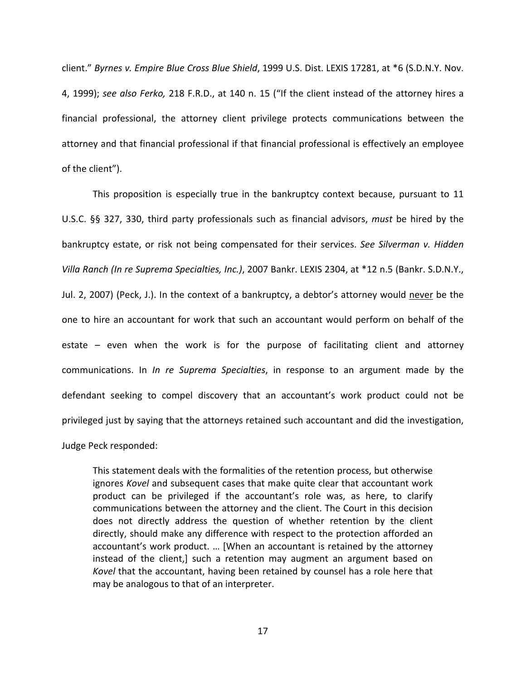client." *Byrnes v. Empire Blue Cross Blue Shield*, 1999 U.S. Dist. LEXIS 17281, at \*6 (S.D.N.Y. Nov. 4, 1999); *see also Ferko,* 218 F.R.D., at 140 n. 15 ("If the client instead of the attorney hires a financial professional, the attorney client privilege protects communications between the attorney and that financial professional if that financial professional is effectively an employee of the client").

This proposition is especially true in the bankruptcy context because, pursuant to 11 U.S.C. §§ 327, 330, third party professionals such as financial advisors, *must* be hired by the bankruptcy estate, or risk not being compensated for their services. *See Silverman v. Hidden Villa Ranch (In re Suprema Specialties, Inc.)*, 2007 Bankr. LEXIS 2304, at \*12 n.5 (Bankr. S.D.N.Y., Jul. 2, 2007) (Peck, J.). In the context of a bankruptcy, a debtor's attorney would never be the one to hire an accountant for work that such an accountant would perform on behalf of the estate – even when the work is for the purpose of facilitating client and attorney communications. In *In re Suprema Specialties*, in response to an argument made by the defendant seeking to compel discovery that an accountant's work product could not be privileged just by saying that the attorneys retained such accountant and did the investigation, Judge Peck responded:

This statement deals with the formalities of the retention process, but otherwise ignores *Kovel* and subsequent cases that make quite clear that accountant work product can be privileged if the accountant's role was, as here, to clarify communications between the attorney and the client. The Court in this decision does not directly address the question of whether retention by the client directly, should make any difference with respect to the protection afforded an accountant's work product. … [When an accountant is retained by the attorney instead of the client,] such a retention may augment an argument based on *Kovel* that the accountant, having been retained by counsel has a role here that may be analogous to that of an interpreter.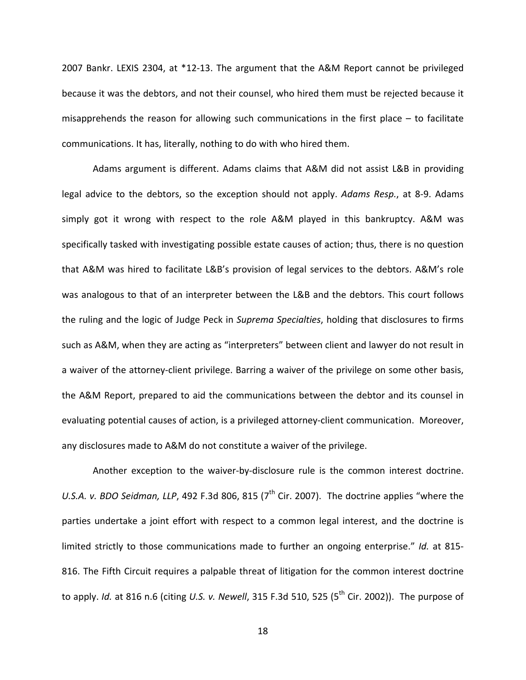2007 Bankr. LEXIS 2304, at \*12‐13. The argument that the A&M Report cannot be privileged because it was the debtors, and not their counsel, who hired them must be rejected because it misapprehends the reason for allowing such communications in the first place – to facilitate communications. It has, literally, nothing to do with who hired them.

Adams argument is different. Adams claims that A&M did not assist L&B in providing legal advice to the debtors, so the exception should not apply. *Adams Resp.*, at 8‐9. Adams simply got it wrong with respect to the role A&M played in this bankruptcy. A&M was specifically tasked with investigating possible estate causes of action; thus, there is no question that A&M was hired to facilitate L&B's provision of legal services to the debtors. A&M's role was analogous to that of an interpreter between the L&B and the debtors. This court follows the ruling and the logic of Judge Peck in *Suprema Specialties*, holding that disclosures to firms such as A&M, when they are acting as "interpreters" between client and lawyer do not result in a waiver of the attorney-client privilege. Barring a waiver of the privilege on some other basis, the A&M Report, prepared to aid the communications between the debtor and its counsel in evaluating potential causes of action, is a privileged attorney‐client communication. Moreover, any disclosures made to A&M do not constitute a waiver of the privilege.

Another exception to the waiver‐by‐disclosure rule is the common interest doctrine. *U.S.A. v. BDO Seidman, LLP,* 492 F.3d 806, 815 (7<sup>th</sup> Cir. 2007). The doctrine applies "where the parties undertake a joint effort with respect to a common legal interest, and the doctrine is limited strictly to those communications made to further an ongoing enterprise." *Id.* at 815‐ 816. The Fifth Circuit requires a palpable threat of litigation for the common interest doctrine to apply. *Id.* at 816 n.6 (citing *U.S. v. Newell*, 315 F.3d 510, 525 (5th Cir. 2002)). The purpose of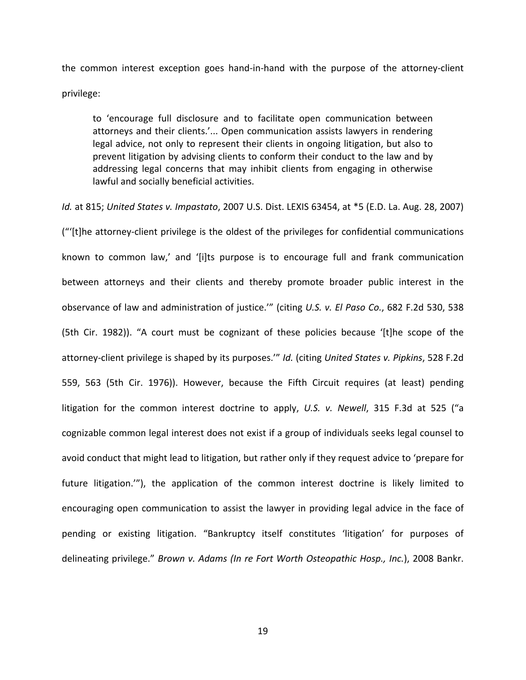the common interest exception goes hand‐in‐hand with the purpose of the attorney‐client privilege:

to 'encourage full disclosure and to facilitate open communication between attorneys and their clients.'... Open communication assists lawyers in rendering legal advice, not only to represent their clients in ongoing litigation, but also to prevent litigation by advising clients to conform their conduct to the law and by addressing legal concerns that may inhibit clients from engaging in otherwise lawful and socially beneficial activities.

*Id.* at 815; *United States v. Impastato*, 2007 U.S. Dist. LEXIS 63454, at \*5 (E.D. La. Aug. 28, 2007)

("'[t]he attorney‐client privilege is the oldest of the privileges for confidential communications known to common law,' and '[i]ts purpose is to encourage full and frank communication between attorneys and their clients and thereby promote broader public interest in the observance of law and administration of justice.'" (citing *U.S. v. El Paso Co.*, 682 F.2d 530, 538 (5th Cir. 1982)). "A court must be cognizant of these policies because '[t]he scope of the attorney‐client privilege is shaped by its purposes.'" *Id.* (citing *United States v. Pipkins*, 528 F.2d 559, 563 (5th Cir. 1976)). However, because the Fifth Circuit requires (at least) pending litigation for the common interest doctrine to apply, *U.S. v. Newell*, 315 F.3d at 525 ("a cognizable common legal interest does not exist if a group of individuals seeks legal counsel to avoid conduct that might lead to litigation, but rather only if they request advice to 'prepare for future litigation.'"), the application of the common interest doctrine is likely limited to encouraging open communication to assist the lawyer in providing legal advice in the face of pending or existing litigation. "Bankruptcy itself constitutes 'litigation' for purposes of delineating privilege." *Brown v. Adams (In re Fort Worth Osteopathic Hosp., Inc.*), 2008 Bankr.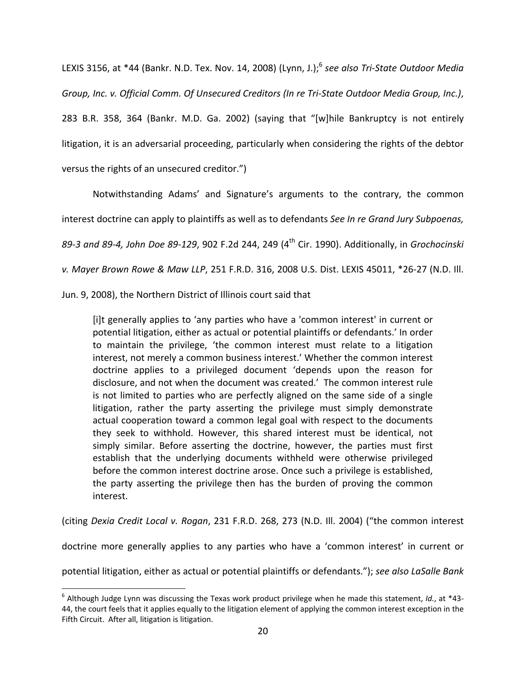LEXIS 3156, at \*44 (Bankr. N.D. Tex. Nov. 14, 2008) (Lynn, J.);6 *see also Tri‐State Outdoor Media Group, Inc. v. Official Comm. Of Unsecured Creditors (In re Tri‐State Outdoor Media Group, Inc.)*, 283 B.R. 358, 364 (Bankr. M.D. Ga. 2002) (saying that "[w]hile Bankruptcy is not entirely litigation, it is an adversarial proceeding, particularly when considering the rights of the debtor versus the rights of an unsecured creditor.")

Notwithstanding Adams' and Signature's arguments to the contrary, the common interest doctrine can apply to plaintiffs as well as to defendants *See In re Grand Jury Subpoenas, 89‐3 and 89‐4, John Doe 89‐129*, 902 F.2d 244, 249 (4th Cir. 1990). Additionally, in *Grochocinski v. Mayer Brown Rowe & Maw LLP*, 251 F.R.D. 316, 2008 U.S. Dist. LEXIS 45011, \*26‐27 (N.D. Ill.

Jun. 9, 2008), the Northern District of Illinois court said that

1

[i]t generally applies to 'any parties who have a 'common interest' in current or potential litigation, either as actual or potential plaintiffs or defendants.' In order to maintain the privilege, 'the common interest must relate to a litigation interest, not merely a common business interest.' Whether the common interest doctrine applies to a privileged document 'depends upon the reason for disclosure, and not when the document was created.' The common interest rule is not limited to parties who are perfectly aligned on the same side of a single litigation, rather the party asserting the privilege must simply demonstrate actual cooperation toward a common legal goal with respect to the documents they seek to withhold. However, this shared interest must be identical, not simply similar. Before asserting the doctrine, however, the parties must first establish that the underlying documents withheld were otherwise privileged before the common interest doctrine arose. Once such a privilege is established, the party asserting the privilege then has the burden of proving the common interest.

(citing *Dexia Credit Local v. Rogan*, 231 F.R.D. 268, 273 (N.D. Ill. 2004) ("the common interest

doctrine more generally applies to any parties who have a 'common interest' in current or

potential litigation, either as actual or potential plaintiffs or defendants."); *see also LaSalle Bank*

<sup>6</sup> Although Judge Lynn was discussing the Texas work product privilege when he made this statement, *Id.*, at \*43‐ 44, the court feels that it applies equally to the litigation element of applying the common interest exception in the Fifth Circuit. After all, litigation is litigation.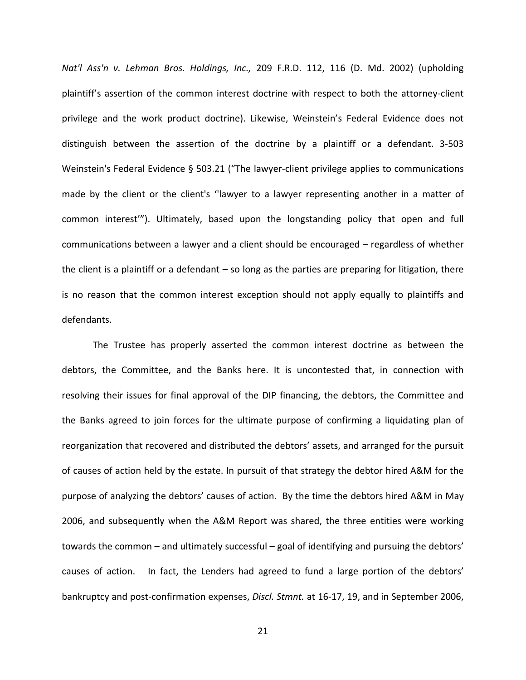*Nat'l Ass'n v. Lehman Bros. Holdings, Inc.,* 209 F.R.D. 112, 116 (D. Md. 2002) (upholding plaintiff's assertion of the common interest doctrine with respect to both the attorney‐client privilege and the work product doctrine). Likewise, Weinstein's Federal Evidence does not distinguish between the assertion of the doctrine by a plaintiff or a defendant. 3‐503 Weinstein's Federal Evidence § 503.21 ("The lawyer-client privilege applies to communications made by the client or the client's ''lawyer to a lawyer representing another in a matter of common interest'"). Ultimately, based upon the longstanding policy that open and full communications between a lawyer and a client should be encouraged – regardless of whether the client is a plaintiff or a defendant – so long as the parties are preparing for litigation, there is no reason that the common interest exception should not apply equally to plaintiffs and defendants.

The Trustee has properly asserted the common interest doctrine as between the debtors, the Committee, and the Banks here. It is uncontested that, in connection with resolving their issues for final approval of the DIP financing, the debtors, the Committee and the Banks agreed to join forces for the ultimate purpose of confirming a liquidating plan of reorganization that recovered and distributed the debtors' assets, and arranged for the pursuit of causes of action held by the estate. In pursuit of that strategy the debtor hired A&M for the purpose of analyzing the debtors' causes of action. By the time the debtors hired A&M in May 2006, and subsequently when the A&M Report was shared, the three entities were working towards the common – and ultimately successful – goal of identifying and pursuing the debtors' causes of action. In fact, the Lenders had agreed to fund a large portion of the debtors' bankruptcy and post‐confirmation expenses, *Discl. Stmnt.* at 16‐17, 19, and in September 2006,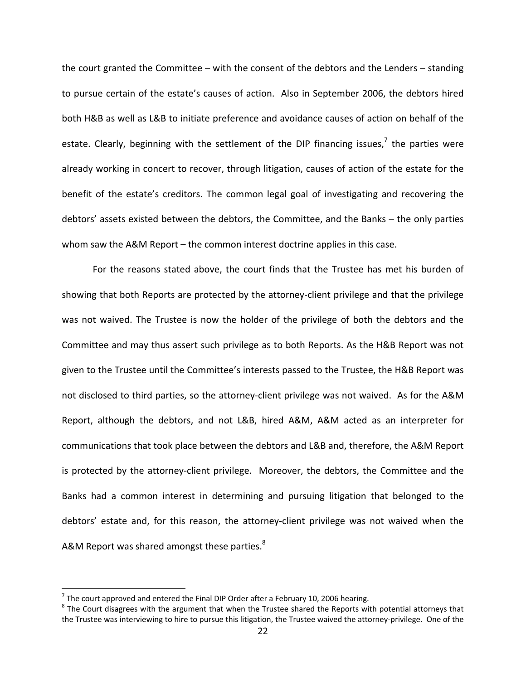the court granted the Committee – with the consent of the debtors and the Lenders – standing to pursue certain of the estate's causes of action. Also in September 2006, the debtors hired both H&B as well as L&B to initiate preference and avoidance causes of action on behalf of the estate. Clearly, beginning with the settlement of the DIP financing issues,<sup>7</sup> the parties were already working in concert to recover, through litigation, causes of action of the estate for the benefit of the estate's creditors. The common legal goal of investigating and recovering the debtors' assets existed between the debtors, the Committee, and the Banks – the only parties whom saw the A&M Report – the common interest doctrine applies in this case.

For the reasons stated above, the court finds that the Trustee has met his burden of showing that both Reports are protected by the attorney-client privilege and that the privilege was not waived. The Trustee is now the holder of the privilege of both the debtors and the Committee and may thus assert such privilege as to both Reports. As the H&B Report was not given to the Trustee until the Committee's interests passed to the Trustee, the H&B Report was not disclosed to third parties, so the attorney‐client privilege was not waived. As for the A&M Report, although the debtors, and not L&B, hired A&M, A&M acted as an interpreter for communications that took place between the debtors and L&B and, therefore, the A&M Report is protected by the attorney‐client privilege. Moreover, the debtors, the Committee and the Banks had a common interest in determining and pursuing litigation that belonged to the debtors' estate and, for this reason, the attorney‐client privilege was not waived when the A&M Report was shared amongst these parties. $8<sup>8</sup>$ 

 $\overline{a}$ 

<sup>&</sup>lt;sup>7</sup> The court approved and entered the Final DIP Order after a February 10, 2006 hearing.<br><sup>8</sup> The Court disagrees with the argument that when the Trustee shared the Reports with potential attorneys that the Trustee was interviewing to hire to pursue this litigation, the Trustee waived the attorney‐privilege. One of the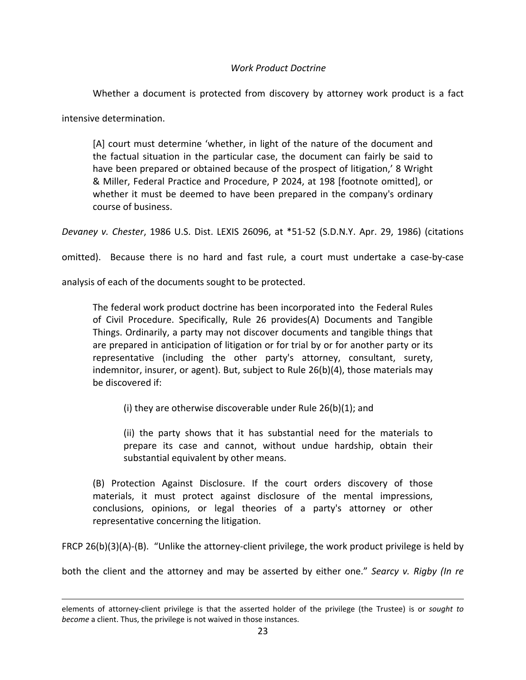## *Work Product Doctrine*

Whether a document is protected from discovery by attorney work product is a fact

intensive determination.

 $\overline{a}$ 

[A] court must determine 'whether, in light of the nature of the document and the factual situation in the particular case, the document can fairly be said to have been prepared or obtained because of the prospect of litigation,' 8 Wright & Miller, Federal Practice and Procedure, P 2024, at 198 [footnote omitted], or whether it must be deemed to have been prepared in the company's ordinary course of business.

*Devaney v. Chester*, 1986 U.S. Dist. LEXIS 26096, at \*51‐52 (S.D.N.Y. Apr. 29, 1986) (citations

omitted). Because there is no hard and fast rule, a court must undertake a case-by-case

analysis of each of the documents sought to be protected.

The federal work product doctrine has been incorporated into the Federal Rules of Civil Procedure. Specifically, Rule 26 provides(A) Documents and Tangible Things. Ordinarily, a party may not discover documents and tangible things that are prepared in anticipation of litigation or for trial by or for another party or its representative (including the other party's attorney, consultant, surety, indemnitor, insurer, or agent). But, subject to Rule 26(b)(4), those materials may be discovered if:

(i) they are otherwise discoverable under Rule 26(b)(1); and

(ii) the party shows that it has substantial need for the materials to prepare its case and cannot, without undue hardship, obtain their substantial equivalent by other means.

(B) Protection Against Disclosure. If the court orders discovery of those materials, it must protect against disclosure of the mental impressions, conclusions, opinions, or legal theories of a party's attorney or other representative concerning the litigation.

FRCP 26(b)(3)(A)‐(B). "Unlike the attorney‐client privilege, the work product privilege is held by

both the client and the attorney and may be asserted by either one." *Searcy v. Rigby (In re*

elements of attorney‐client privilege is that the asserted holder of the privilege (the Trustee) is or *sought to become* a client. Thus, the privilege is not waived in those instances.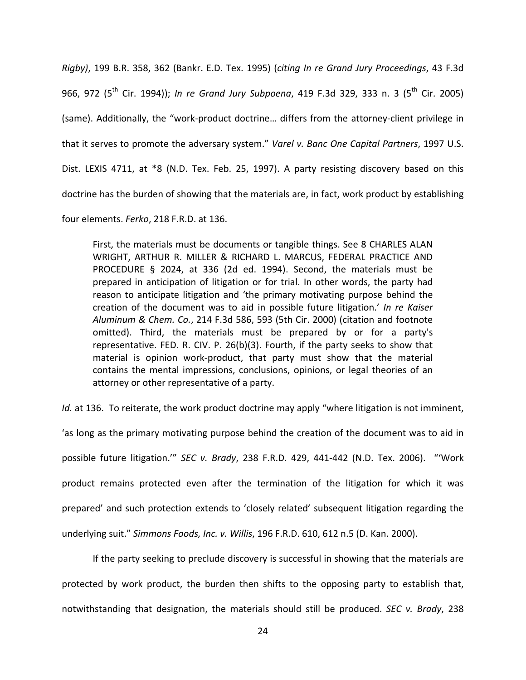*Rigby)*, 199 B.R. 358, 362 (Bankr. E.D. Tex. 1995) (*citing In re Grand Jury Proceedings*, 43 F.3d 966, 972 (5th Cir. 1994)); *In re Grand Jury Subpoena*, 419 F.3d 329, 333 n. 3 (5th Cir. 2005) (same). Additionally, the "work‐product doctrine… differs from the attorney‐client privilege in that it serves to promote the adversary system." *Varel v. Banc One Capital Partners*, 1997 U.S. Dist. LEXIS 4711, at \*8 (N.D. Tex. Feb. 25, 1997). A party resisting discovery based on this doctrine has the burden of showing that the materials are, in fact, work product by establishing

four elements. *Ferko*, 218 F.R.D. at 136.

First, the materials must be documents or tangible things. See 8 CHARLES ALAN WRIGHT, ARTHUR R. MILLER & RICHARD L. MARCUS, FEDERAL PRACTICE AND PROCEDURE § 2024, at 336 (2d ed. 1994). Second, the materials must be prepared in anticipation of litigation or for trial. In other words, the party had reason to anticipate litigation and 'the primary motivating purpose behind the creation of the document was to aid in possible future litigation.' *In re Kaiser Aluminum & Chem. Co.*, 214 F.3d 586, 593 (5th Cir. 2000) (citation and footnote omitted). Third, the materials must be prepared by or for a party's representative. FED. R. CIV. P. 26(b)(3). Fourth, if the party seeks to show that material is opinion work‐product, that party must show that the material contains the mental impressions, conclusions, opinions, or legal theories of an attorney or other representative of a party.

*Id.* at 136. To reiterate, the work product doctrine may apply "where litigation is not imminent,

'as long as the primary motivating purpose behind the creation of the document was to aid in possible future litigation.'" *SEC v. Brady*, 238 F.R.D. 429, 441‐442 (N.D. Tex. 2006). "'Work product remains protected even after the termination of the litigation for which it was prepared' and such protection extends to 'closely related' subsequent litigation regarding the underlying suit." *Simmons Foods, Inc. v. Willis*, 196 F.R.D. 610, 612 n.5 (D. Kan. 2000).

If the party seeking to preclude discovery is successful in showing that the materials are protected by work product, the burden then shifts to the opposing party to establish that, notwithstanding that designation, the materials should still be produced. *SEC v. Brady*, 238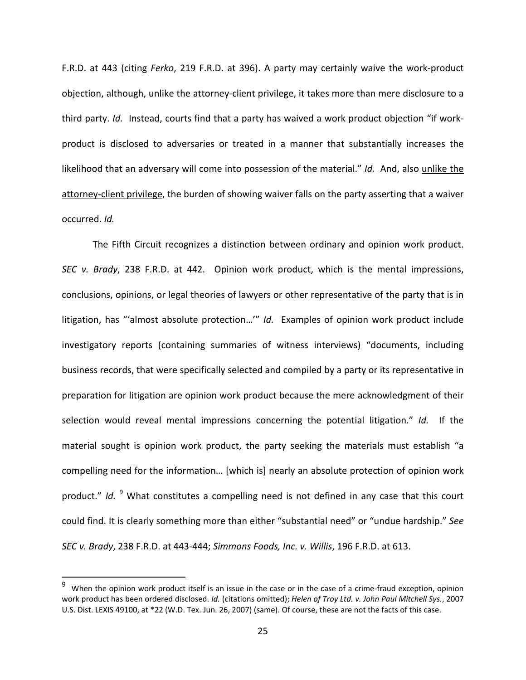F.R.D. at 443 (citing *Ferko*, 219 F.R.D. at 396). A party may certainly waive the work‐product objection, although, unlike the attorney‐client privilege, it takes more than mere disclosure to a third party. *Id.* Instead, courts find that a party has waived a work product objection "if work‐ product is disclosed to adversaries or treated in a manner that substantially increases the likelihood that an adversary will come into possession of the material." *Id.* And, also unlike the attorney‐client privilege, the burden of showing waiver falls on the party asserting that a waiver occurred. *Id.*

The Fifth Circuit recognizes a distinction between ordinary and opinion work product. *SEC v. Brady*, 238 F.R.D. at 442. Opinion work product, which is the mental impressions, conclusions, opinions, or legal theories of lawyers or other representative of the party that is in litigation, has "'almost absolute protection…'" *Id.* Examples of opinion work product include investigatory reports (containing summaries of witness interviews) "documents, including business records, that were specifically selected and compiled by a party or its representative in preparation for litigation are opinion work product because the mere acknowledgment of their selection would reveal mental impressions concerning the potential litigation." *Id.* If the material sought is opinion work product, the party seeking the materials must establish "a compelling need for the information… [which is] nearly an absolute protection of opinion work product." *Id.* <sup>9</sup> What constitutes a compelling need is not defined in any case that this court could find. It is clearly something more than either "substantial need" or "undue hardship." *See SEC v. Brady*, 238 F.R.D. at 443‐444; *Simmons Foods, Inc. v. Willis*, 196 F.R.D. at 613.

 $\overline{a}$ 

When the opinion work product itself is an issue in the case or in the case of a crime-fraud exception, opinion work product has been ordered disclosed. *Id.* (citations omitted); *Helen of Troy Ltd. v. John Paul Mitchell Sys.*, 2007 U.S. Dist. LEXIS 49100, at \*22 (W.D. Tex. Jun. 26, 2007) (same). Of course, these are not the facts of this case.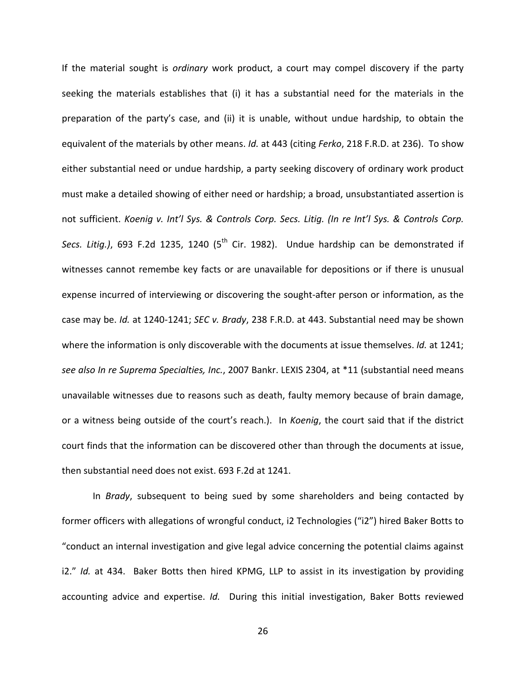If the material sought is *ordinary* work product, a court may compel discovery if the party seeking the materials establishes that (i) it has a substantial need for the materials in the preparation of the party's case, and (ii) it is unable, without undue hardship, to obtain the equivalent of the materials by other means. *Id.* at 443 (citing *Ferko*, 218 F.R.D. at 236). To show either substantial need or undue hardship, a party seeking discovery of ordinary work product must make a detailed showing of either need or hardship; a broad, unsubstantiated assertion is not sufficient. *Koenig v. Int'l Sys. & Controls Corp. Secs. Litig. (In re Int'l Sys. & Controls Corp.* Secs. Litig.), 693 F.2d 1235, 1240 (5<sup>th</sup> Cir. 1982). Undue hardship can be demonstrated if witnesses cannot remembe key facts or are unavailable for depositions or if there is unusual expense incurred of interviewing or discovering the sought-after person or information, as the case may be. *Id.* at 1240‐1241; *SEC v. Brady*, 238 F.R.D. at 443. Substantial need may be shown where the information is only discoverable with the documents at issue themselves. *Id.* at 1241; *see also In re Suprema Specialties, Inc.*, 2007 Bankr. LEXIS 2304, at \*11 (substantial need means unavailable witnesses due to reasons such as death, faulty memory because of brain damage, or a witness being outside of the court's reach.). In *Koenig*, the court said that if the district court finds that the information can be discovered other than through the documents at issue, then substantial need does not exist. 693 F.2d at 1241.

In *Brady*, subsequent to being sued by some shareholders and being contacted by former officers with allegations of wrongful conduct, i2 Technologies ("i2") hired Baker Botts to "conduct an internal investigation and give legal advice concerning the potential claims against i2." *Id.* at 434. Baker Botts then hired KPMG, LLP to assist in its investigation by providing accounting advice and expertise. *Id.* During this initial investigation, Baker Botts reviewed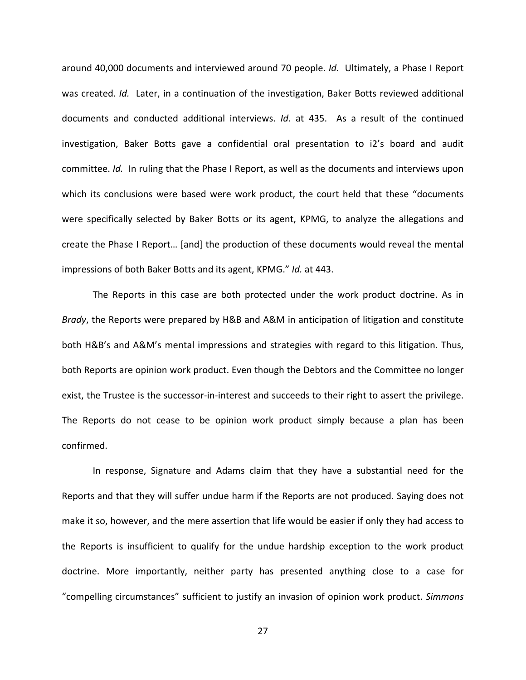around 40,000 documents and interviewed around 70 people. *Id.* Ultimately, a Phase I Report was created. *Id.* Later, in a continuation of the investigation, Baker Botts reviewed additional documents and conducted additional interviews. *Id.* at 435. As a result of the continued investigation, Baker Botts gave a confidential oral presentation to i2's board and audit committee. *Id.* In ruling that the Phase I Report, as well as the documents and interviews upon which its conclusions were based were work product, the court held that these "documents were specifically selected by Baker Botts or its agent, KPMG, to analyze the allegations and create the Phase I Report… [and] the production of these documents would reveal the mental impressions of both Baker Botts and its agent, KPMG." *Id.* at 443.

The Reports in this case are both protected under the work product doctrine. As in *Brady*, the Reports were prepared by H&B and A&M in anticipation of litigation and constitute both H&B's and A&M's mental impressions and strategies with regard to this litigation. Thus, both Reports are opinion work product. Even though the Debtors and the Committee no longer exist, the Trustee is the successor-in-interest and succeeds to their right to assert the privilege. The Reports do not cease to be opinion work product simply because a plan has been confirmed.

In response, Signature and Adams claim that they have a substantial need for the Reports and that they will suffer undue harm if the Reports are not produced. Saying does not make it so, however, and the mere assertion that life would be easier if only they had access to the Reports is insufficient to qualify for the undue hardship exception to the work product doctrine. More importantly, neither party has presented anything close to a case for "compelling circumstances" sufficient to justify an invasion of opinion work product. *Simmons*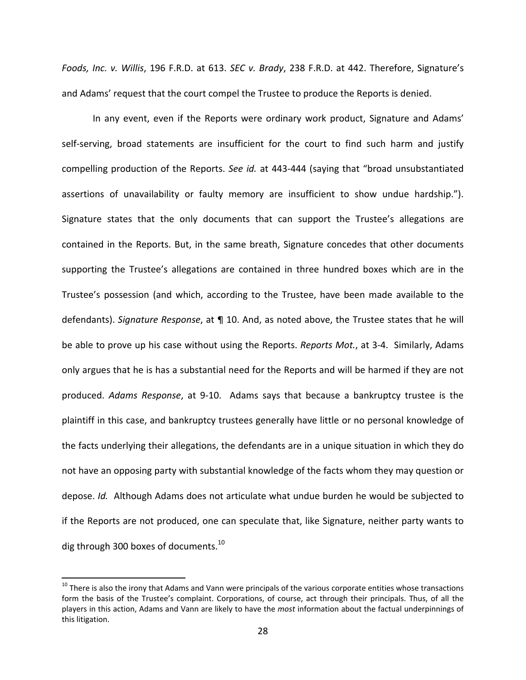*Foods, Inc. v. Willis*, 196 F.R.D. at 613. *SEC v. Brady*, 238 F.R.D. at 442. Therefore, Signature's and Adams' request that the court compel the Trustee to produce the Reports is denied.

In any event, even if the Reports were ordinary work product, Signature and Adams' self-serving, broad statements are insufficient for the court to find such harm and justify compelling production of the Reports. *See id.* at 443‐444 (saying that "broad unsubstantiated assertions of unavailability or faulty memory are insufficient to show undue hardship."). Signature states that the only documents that can support the Trustee's allegations are contained in the Reports. But, in the same breath, Signature concedes that other documents supporting the Trustee's allegations are contained in three hundred boxes which are in the Trustee's possession (and which, according to the Trustee, have been made available to the defendants). *Signature Response*, at ¶ 10. And, as noted above, the Trustee states that he will be able to prove up his case without using the Reports. *Reports Mot.*, at 3‐4. Similarly, Adams only argues that he is has a substantial need for the Reports and will be harmed if they are not produced. *Adams Response*, at 9‐10. Adams says that because a bankruptcy trustee is the plaintiff in this case, and bankruptcy trustees generally have little or no personal knowledge of the facts underlying their allegations, the defendants are in a unique situation in which they do not have an opposing party with substantial knowledge of the facts whom they may question or depose. *Id.* Although Adams does not articulate what undue burden he would be subjected to if the Reports are not produced, one can speculate that, like Signature, neither party wants to dig through 300 boxes of documents. $^{10}$ 

 $\overline{a}$ 

 $10$  There is also the irony that Adams and Vann were principals of the various corporate entities whose transactions form the basis of the Trustee's complaint. Corporations, of course, act through their principals. Thus, of all the players in this action, Adams and Vann are likely to have the *most* information about the factual underpinnings of this litigation.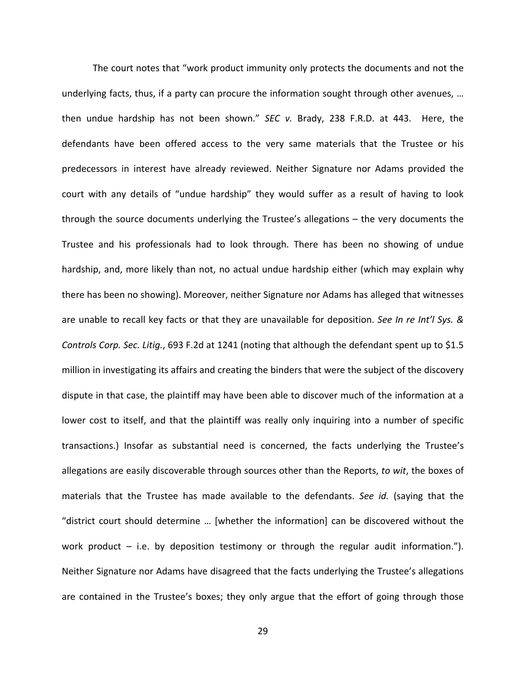The court notes that "work product immunity only protects the documents and not the underlying facts, thus, if a party can procure the information sought through other avenues, … then undue hardship has not been shown." *SEC v.* Brady, 238 F.R.D. at 443. Here, the defendants have been offered access to the very same materials that the Trustee or his predecessors in interest have already reviewed. Neither Signature nor Adams provided the court with any details of "undue hardship" they would suffer as a result of having to look through the source documents underlying the Trustee's allegations – the very documents the Trustee and his professionals had to look through. There has been no showing of undue hardship, and, more likely than not, no actual undue hardship either (which may explain why there has been no showing). Moreover, neither Signature nor Adams has alleged that witnesses are unable to recall key facts or that they are unavailable for deposition. *See In re Int'l Sys. & Controls Corp. Sec. Litig.*, 693 F.2d at 1241 (noting that although the defendant spent up to \$1.5 million in investigating its affairs and creating the binders that were the subject of the discovery dispute in that case, the plaintiff may have been able to discover much of the information at a lower cost to itself, and that the plaintiff was really only inquiring into a number of specific transactions.) Insofar as substantial need is concerned, the facts underlying the Trustee's allegations are easily discoverable through sources other than the Reports, *to wit*, the boxes of materials that the Trustee has made available to the defendants. *See id.* (saying that the "district court should determine … [whether the information] can be discovered without the work product  $-$  i.e. by deposition testimony or through the regular audit information."). Neither Signature nor Adams have disagreed that the facts underlying the Trustee's allegations are contained in the Trustee's boxes; they only argue that the effort of going through those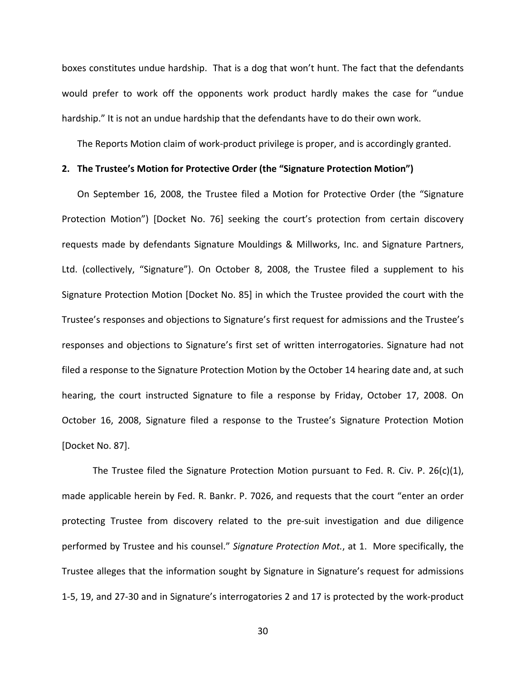boxes constitutes undue hardship. That is a dog that won't hunt. The fact that the defendants would prefer to work off the opponents work product hardly makes the case for "undue hardship." It is not an undue hardship that the defendants have to do their own work.

The Reports Motion claim of work‐product privilege is proper, and is accordingly granted.

#### **2. The Trustee's Motion for Protective Order (the "Signature Protection Motion")**

On September 16, 2008, the Trustee filed a Motion for Protective Order (the "Signature Protection Motion") [Docket No. 76] seeking the court's protection from certain discovery requests made by defendants Signature Mouldings & Millworks, Inc. and Signature Partners, Ltd. (collectively, "Signature"). On October 8, 2008, the Trustee filed a supplement to his Signature Protection Motion [Docket No. 85] in which the Trustee provided the court with the Trustee's responses and objections to Signature's first request for admissions and the Trustee's responses and objections to Signature's first set of written interrogatories. Signature had not filed a response to the Signature Protection Motion by the October 14 hearing date and, at such hearing, the court instructed Signature to file a response by Friday, October 17, 2008. On October 16, 2008, Signature filed a response to the Trustee's Signature Protection Motion [Docket No. 87].

The Trustee filed the Signature Protection Motion pursuant to Fed. R. Civ. P. 26(c)(1), made applicable herein by Fed. R. Bankr. P. 7026, and requests that the court "enter an order protecting Trustee from discovery related to the pre‐suit investigation and due diligence performed by Trustee and his counsel." *Signature Protection Mot.*, at 1. More specifically, the Trustee alleges that the information sought by Signature in Signature's request for admissions 1‐5, 19, and 27‐30 and in Signature's interrogatories 2 and 17 is protected by the work‐product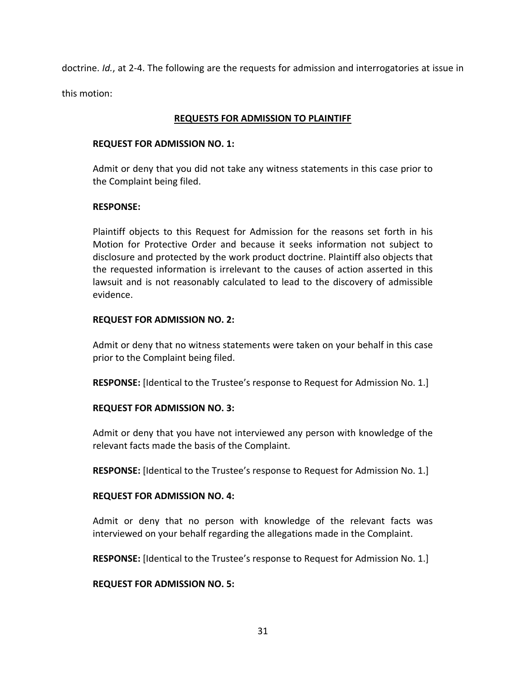doctrine. *Id.*, at 2‐4. The following are the requests for admission and interrogatories at issue in this motion:

#### **REQUESTS FOR ADMISSION TO PLAINTIFF**

#### **REQUEST FOR ADMISSION NO. 1:**

Admit or deny that you did not take any witness statements in this case prior to the Complaint being filed.

#### **RESPONSE:**

Plaintiff objects to this Request for Admission for the reasons set forth in his Motion for Protective Order and because it seeks information not subject to disclosure and protected by the work product doctrine. Plaintiff also objects that the requested information is irrelevant to the causes of action asserted in this lawsuit and is not reasonably calculated to lead to the discovery of admissible evidence.

#### **REQUEST FOR ADMISSION NO. 2:**

Admit or deny that no witness statements were taken on your behalf in this case prior to the Complaint being filed.

**RESPONSE:** [Identical to the Trustee's response to Request for Admission No. 1.]

### **REQUEST FOR ADMISSION NO. 3:**

Admit or deny that you have not interviewed any person with knowledge of the relevant facts made the basis of the Complaint.

**RESPONSE:** [Identical to the Trustee's response to Request for Admission No. 1.]

### **REQUEST FOR ADMISSION NO. 4:**

Admit or deny that no person with knowledge of the relevant facts was interviewed on your behalf regarding the allegations made in the Complaint.

**RESPONSE:** [Identical to the Trustee's response to Request for Admission No. 1.]

### **REQUEST FOR ADMISSION NO. 5:**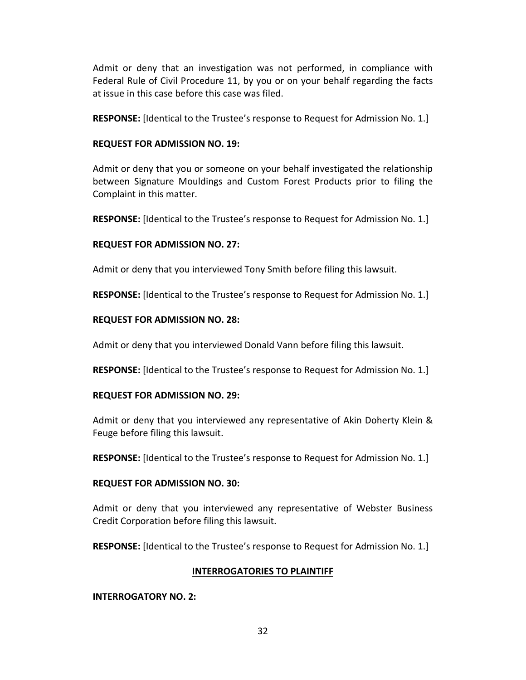Admit or deny that an investigation was not performed, in compliance with Federal Rule of Civil Procedure 11, by you or on your behalf regarding the facts at issue in this case before this case was filed.

**RESPONSE:** [Identical to the Trustee's response to Request for Admission No. 1.]

## **REQUEST FOR ADMISSION NO. 19:**

Admit or deny that you or someone on your behalf investigated the relationship between Signature Mouldings and Custom Forest Products prior to filing the Complaint in this matter.

**RESPONSE:** [Identical to the Trustee's response to Request for Admission No. 1.]

## **REQUEST FOR ADMISSION NO. 27:**

Admit or deny that you interviewed Tony Smith before filing this lawsuit.

**RESPONSE:** [Identical to the Trustee's response to Request for Admission No. 1.]

## **REQUEST FOR ADMISSION NO. 28:**

Admit or deny that you interviewed Donald Vann before filing this lawsuit.

**RESPONSE:** [Identical to the Trustee's response to Request for Admission No. 1.]

### **REQUEST FOR ADMISSION NO. 29:**

Admit or deny that you interviewed any representative of Akin Doherty Klein & Feuge before filing this lawsuit.

**RESPONSE:** [Identical to the Trustee's response to Request for Admission No. 1.]

### **REQUEST FOR ADMISSION NO. 30:**

Admit or deny that you interviewed any representative of Webster Business Credit Corporation before filing this lawsuit.

**RESPONSE:** [Identical to the Trustee's response to Request for Admission No. 1.]

# **INTERROGATORIES TO PLAINTIFF**

### **INTERROGATORY NO. 2:**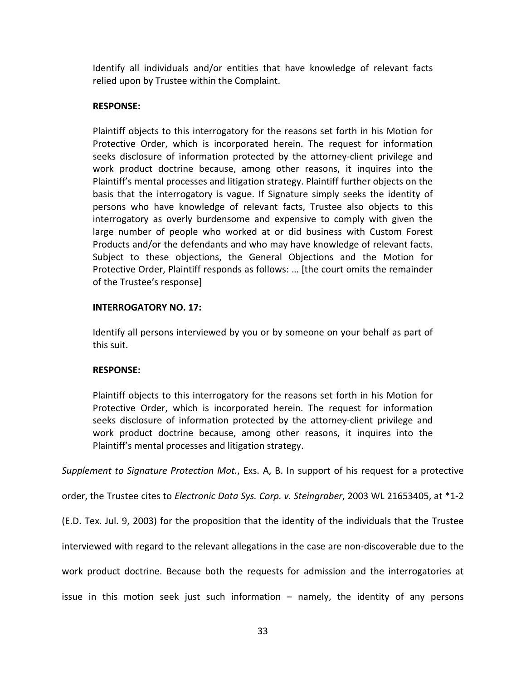Identify all individuals and/or entities that have knowledge of relevant facts relied upon by Trustee within the Complaint.

## **RESPONSE:**

Plaintiff objects to this interrogatory for the reasons set forth in his Motion for Protective Order, which is incorporated herein. The request for information seeks disclosure of information protected by the attorney-client privilege and work product doctrine because, among other reasons, it inquires into the Plaintiff's mental processes and litigation strategy. Plaintiff further objects on the basis that the interrogatory is vague. If Signature simply seeks the identity of persons who have knowledge of relevant facts, Trustee also objects to this interrogatory as overly burdensome and expensive to comply with given the large number of people who worked at or did business with Custom Forest Products and/or the defendants and who may have knowledge of relevant facts. Subject to these objections, the General Objections and the Motion for Protective Order, Plaintiff responds as follows: … [the court omits the remainder of the Trustee's response]

### **INTERROGATORY NO. 17:**

Identify all persons interviewed by you or by someone on your behalf as part of this suit.

### **RESPONSE:**

Plaintiff objects to this interrogatory for the reasons set forth in his Motion for Protective Order, which is incorporated herein. The request for information seeks disclosure of information protected by the attorney-client privilege and work product doctrine because, among other reasons, it inquires into the Plaintiff's mental processes and litigation strategy.

*Supplement to Signature Protection Mot.*, Exs. A, B. In support of his request for a protective

order, the Trustee cites to *Electronic Data Sys. Corp. v. Steingraber*, 2003 WL 21653405, at \*1‐2

(E.D. Tex. Jul. 9, 2003) for the proposition that the identity of the individuals that the Trustee

interviewed with regard to the relevant allegations in the case are non‐discoverable due to the

work product doctrine. Because both the requests for admission and the interrogatories at

issue in this motion seek just such information – namely, the identity of any persons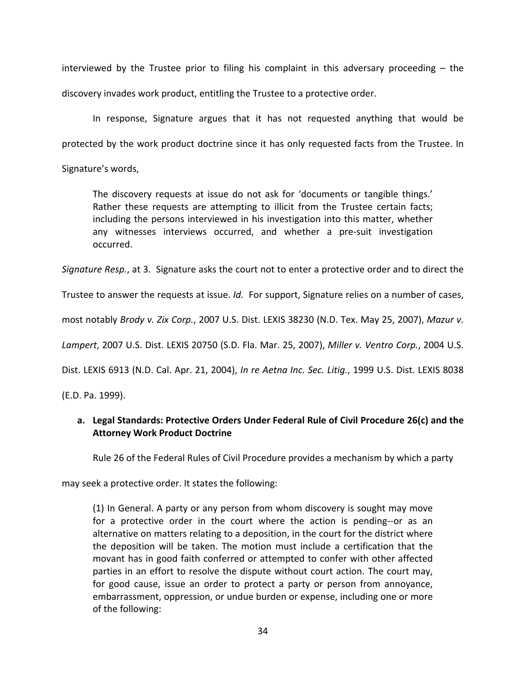interviewed by the Trustee prior to filing his complaint in this adversary proceeding – the discovery invades work product, entitling the Trustee to a protective order.

In response, Signature argues that it has not requested anything that would be protected by the work product doctrine since it has only requested facts from the Trustee. In

Signature's words,

The discovery requests at issue do not ask for 'documents or tangible things.' Rather these requests are attempting to illicit from the Trustee certain facts; including the persons interviewed in his investigation into this matter, whether any witnesses interviews occurred, and whether a pre‐suit investigation occurred.

*Signature Resp.*, at 3. Signature asks the court not to enter a protective order and to direct the

Trustee to answer the requests at issue. *Id.* For support, Signature relies on a number of cases,

most notably *Brody v. Zix Corp.*, 2007 U.S. Dist. LEXIS 38230 (N.D. Tex. May 25, 2007), *Mazur v.*

*Lampert*, 2007 U.S. Dist. LEXIS 20750 (S.D. Fla. Mar. 25, 2007), *Miller v. Ventro Corp.*, 2004 U.S.

Dist. LEXIS 6913 (N.D. Cal. Apr. 21, 2004), *In re Aetna Inc. Sec. Litig.*, 1999 U.S. Dist. LEXIS 8038

(E.D. Pa. 1999).

# **a. Legal Standards: Protective Orders Under Federal Rule of Civil Procedure 26(c) and the Attorney Work Product Doctrine**

Rule 26 of the Federal Rules of Civil Procedure provides a mechanism by which a party

may seek a protective order. It states the following:

(1) In General. A party or any person from whom discovery is sought may move for a protective order in the court where the action is pending--or as an alternative on matters relating to a deposition, in the court for the district where the deposition will be taken. The motion must include a certification that the movant has in good faith conferred or attempted to confer with other affected parties in an effort to resolve the dispute without court action. The court may, for good cause, issue an order to protect a party or person from annoyance, embarrassment, oppression, or undue burden or expense, including one or more of the following: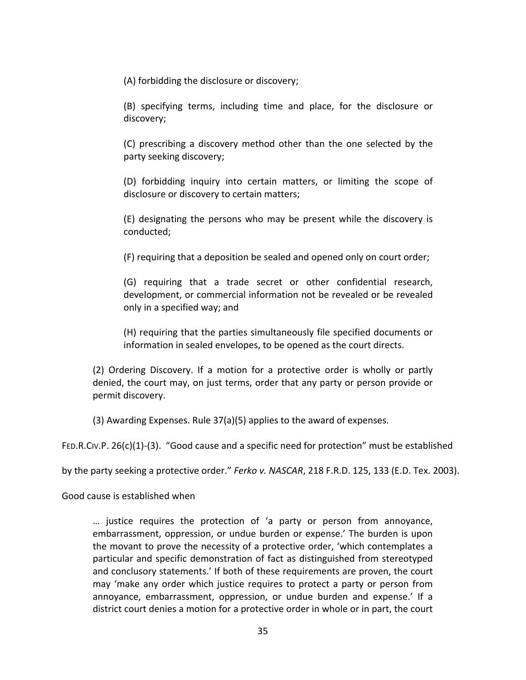(A) forbidding the disclosure or discovery;

(B) specifying terms, including time and place, for the disclosure or discovery;

(C) prescribing a discovery method other than the one selected by the party seeking discovery;

(D) forbidding inquiry into certain matters, or limiting the scope of disclosure or discovery to certain matters;

(E) designating the persons who may be present while the discovery is conducted;

(F) requiring that a deposition be sealed and opened only on court order;

(G) requiring that a trade secret or other confidential research, development, or commercial information not be revealed or be revealed only in a specified way; and

(H) requiring that the parties simultaneously file specified documents or information in sealed envelopes, to be opened as the court directs.

(2) Ordering Discovery. If a motion for a protective order is wholly or partly denied, the court may, on just terms, order that any party or person provide or permit discovery.

(3) Awarding Expenses. Rule 37(a)(5) applies to the award of expenses.

FED.R.CIV.P. 26(c)(1)‐(3). "Good cause and a specific need for protection" must be established

by the party seeking a protective order." *Ferko v. NASCAR*, 218 F.R.D. 125, 133 (E.D. Tex. 2003).

Good cause is established when

… justice requires the protection of 'a party or person from annoyance, embarrassment, oppression, or undue burden or expense.' The burden is upon the movant to prove the necessity of a protective order, 'which contemplates a particular and specific demonstration of fact as distinguished from stereotyped and conclusory statements.' If both of these requirements are proven, the court may 'make any order which justice requires to protect a party or person from annoyance, embarrassment, oppression, or undue burden and expense.' If a district court denies a motion for a protective order in whole or in part, the court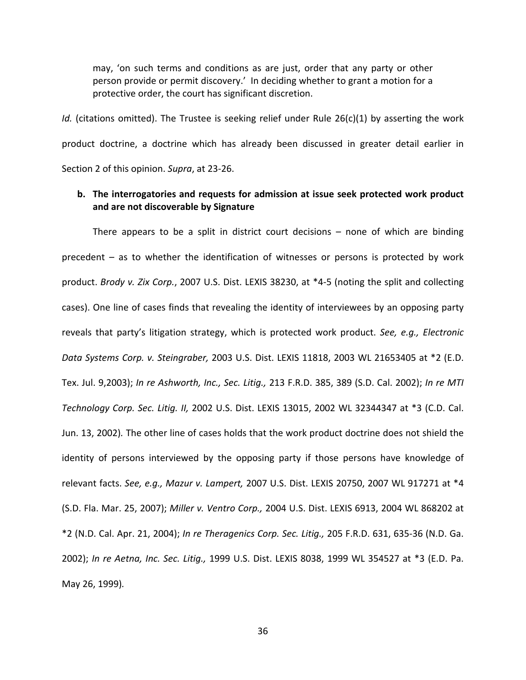may, 'on such terms and conditions as are just, order that any party or other person provide or permit discovery.' In deciding whether to grant a motion for a protective order, the court has significant discretion.

*Id.* (citations omitted). The Trustee is seeking relief under Rule 26(c)(1) by asserting the work product doctrine, a doctrine which has already been discussed in greater detail earlier in Section 2 of this opinion. *Supra*, at 23‐26.

## **b. The interrogatories and requests for admission at issue seek protected work product and are not discoverable by Signature**

There appears to be a split in district court decisions – none of which are binding precedent – as to whether the identification of witnesses or persons is protected by work product. *Brody v. Zix Corp.*, 2007 U.S. Dist. LEXIS 38230, at \*4‐5 (noting the split and collecting cases). One line of cases finds that revealing the identity of interviewees by an opposing party reveals that party's litigation strategy, which is protected work product. *See, e.g., Electronic Data Systems Corp. v. Steingraber,* 2003 U.S. Dist. LEXIS 11818, 2003 WL 21653405 at \*2 (E.D. Tex. Jul. 9,2003); *In re Ashworth, Inc., Sec. Litig.,* 213 F.R.D. 385, 389 (S.D. Cal. 2002); *In re MTI Technology Corp. Sec. Litig. II,* 2002 U.S. Dist. LEXIS 13015, 2002 WL 32344347 at \*3 (C.D. Cal. Jun. 13, 2002)*.* The other line of cases holds that the work product doctrine does not shield the identity of persons interviewed by the opposing party if those persons have knowledge of relevant facts. *See, e.g., Mazur v. Lampert,* 2007 U.S. Dist. LEXIS 20750, 2007 WL 917271 at \*4 (S.D. Fla. Mar. 25, 2007); *Miller v. Ventro Corp.,* 2004 U.S. Dist. LEXIS 6913, 2004 WL 868202 at \*2 (N.D. Cal. Apr. 21, 2004); *In re Theragenics Corp. Sec. Litig.,* 205 F.R.D. 631, 635‐36 (N.D. Ga. 2002); *In re Aetna, Inc. Sec. Litig.,* 1999 U.S. Dist. LEXIS 8038, 1999 WL 354527 at \*3 (E.D. Pa. May 26, 1999)*.*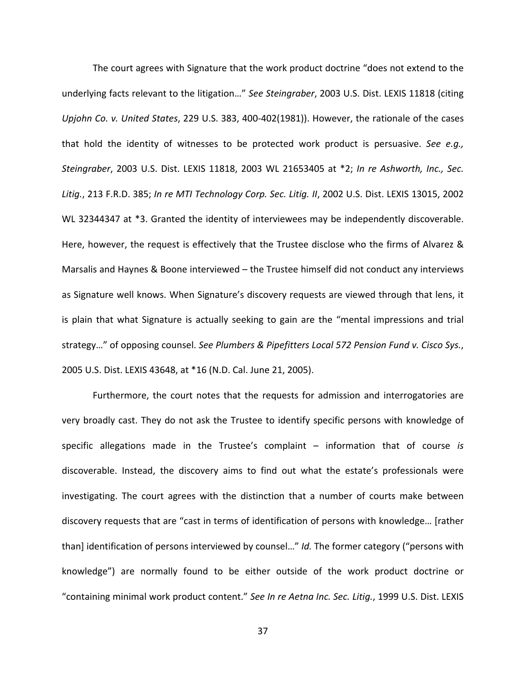The court agrees with Signature that the work product doctrine "does not extend to the underlying facts relevant to the litigation…" *See Steingraber*, 2003 U.S. Dist. LEXIS 11818 (citing *Upjohn Co. v. United States*, 229 U.S. 383, 400‐402(1981)). However, the rationale of the cases that hold the identity of witnesses to be protected work product is persuasive. *See e.g., Steingraber*, 2003 U.S. Dist. LEXIS 11818, 2003 WL 21653405 at \*2; *In re Ashworth, Inc., Sec. Litig.*, 213 F.R.D. 385; *In re MTI Technology Corp. Sec. Litig. II*, 2002 U.S. Dist. LEXIS 13015, 2002 WL 32344347 at \*3. Granted the identity of interviewees may be independently discoverable. Here, however, the request is effectively that the Trustee disclose who the firms of Alvarez & Marsalis and Haynes & Boone interviewed – the Trustee himself did not conduct any interviews as Signature well knows. When Signature's discovery requests are viewed through that lens, it is plain that what Signature is actually seeking to gain are the "mental impressions and trial strategy…" of opposing counsel. *See Plumbers & Pipefitters Local 572 Pension Fund v. Cisco Sys.*, 2005 U.S. Dist. LEXIS 43648, at \*16 (N.D. Cal. June 21, 2005).

Furthermore, the court notes that the requests for admission and interrogatories are very broadly cast. They do not ask the Trustee to identify specific persons with knowledge of specific allegations made in the Trustee's complaint – information that of course *is* discoverable. Instead, the discovery aims to find out what the estate's professionals were investigating. The court agrees with the distinction that a number of courts make between discovery requests that are "cast in terms of identification of persons with knowledge… [rather than] identification of persons interviewed by counsel…" *Id.* The former category ("persons with knowledge") are normally found to be either outside of the work product doctrine or "containing minimal work product content." *See In re Aetna Inc. Sec. Litig.*, 1999 U.S. Dist. LEXIS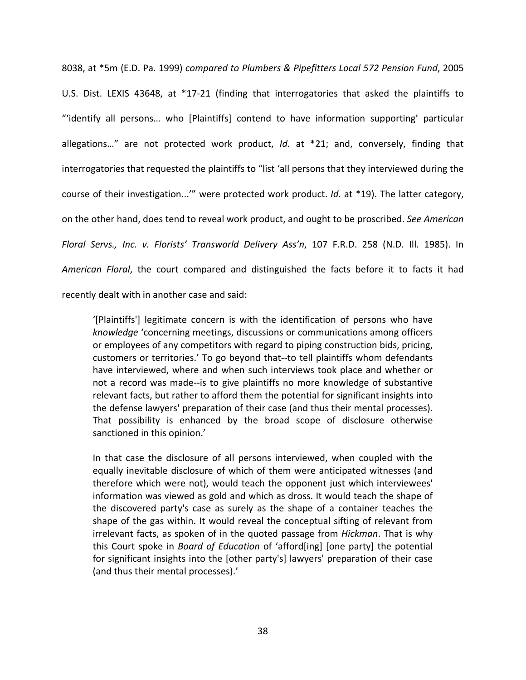8038, at \*5m (E.D. Pa. 1999) *compared to Plumbers & Pipefitters Local 572 Pension Fund*, 2005 U.S. Dist. LEXIS 43648, at \*17‐21 (finding that interrogatories that asked the plaintiffs to "'identify all persons… who [Plaintiffs] contend to have information supporting' particular allegations…" are not protected work product, *Id.* at \*21; and, conversely, finding that interrogatories that requested the plaintiffs to "list 'all persons that they interviewed during the course of their investigation...'" were protected work product. *Id.* at \*19). The latter category, on the other hand, does tend to reveal work product, and ought to be proscribed. *See American Floral Servs., Inc. v. Florists' Transworld Delivery Ass'n*, 107 F.R.D. 258 (N.D. Ill. 1985). In *American Floral*, the court compared and distinguished the facts before it to facts it had recently dealt with in another case and said:

'[Plaintiffs'] legitimate concern is with the identification of persons who have *knowledge* 'concerning meetings, discussions or communications among officers or employees of any competitors with regard to piping construction bids, pricing, customers or territories.' To go beyond that‐‐to tell plaintiffs whom defendants have interviewed, where and when such interviews took place and whether or not a record was made‐‐is to give plaintiffs no more knowledge of substantive relevant facts, but rather to afford them the potential for significant insights into the defense lawyers' preparation of their case (and thus their mental processes). That possibility is enhanced by the broad scope of disclosure otherwise sanctioned in this opinion.'

In that case the disclosure of all persons interviewed, when coupled with the equally inevitable disclosure of which of them were anticipated witnesses (and therefore which were not), would teach the opponent just which interviewees' information was viewed as gold and which as dross. It would teach the shape of the discovered party's case as surely as the shape of a container teaches the shape of the gas within. It would reveal the conceptual sifting of relevant from irrelevant facts, as spoken of in the quoted passage from *Hickman*. That is why this Court spoke in *Board of Education* of 'afford[ing] [one party] the potential for significant insights into the [other party's] lawyers' preparation of their case (and thus their mental processes).'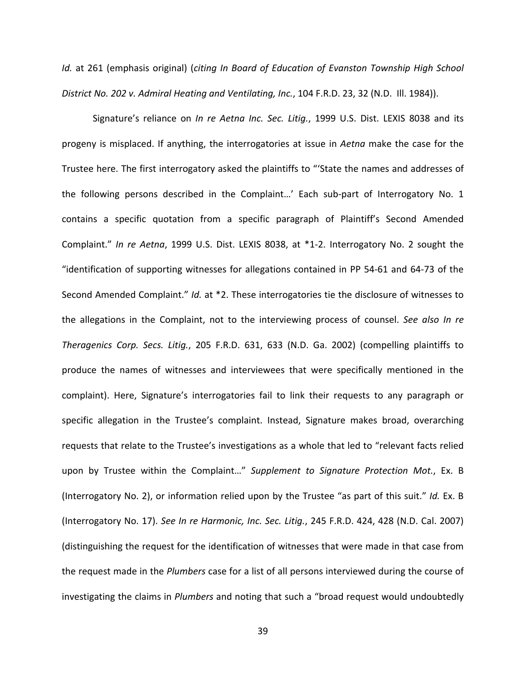*Id.* at 261 (emphasis original) (*citing In Board of Education of Evanston Township High School District No. 202 v. Admiral Heating and Ventilating, Inc.*, 104 F.R.D. 23, 32 (N.D. Ill. 1984)).

Signature's reliance on *In re Aetna Inc. Sec. Litig.*, 1999 U.S. Dist. LEXIS 8038 and its progeny is misplaced. If anything, the interrogatories at issue in *Aetna* make the case for the Trustee here. The first interrogatory asked the plaintiffs to "'State the names and addresses of the following persons described in the Complaint…' Each sub‐part of Interrogatory No. 1 contains a specific quotation from a specific paragraph of Plaintiff's Second Amended Complaint." *In re Aetna*, 1999 U.S. Dist. LEXIS 8038, at \*1‐2. Interrogatory No. 2 sought the "identification of supporting witnesses for allegations contained in PP 54‐61 and 64‐73 of the Second Amended Complaint." *Id.* at \*2. These interrogatories tie the disclosure of witnesses to the allegations in the Complaint, not to the interviewing process of counsel. *See also In re Theragenics Corp. Secs. Litig.*, 205 F.R.D. 631, 633 (N.D. Ga. 2002) (compelling plaintiffs to produce the names of witnesses and interviewees that were specifically mentioned in the complaint). Here, Signature's interrogatories fail to link their requests to any paragraph or specific allegation in the Trustee's complaint. Instead, Signature makes broad, overarching requests that relate to the Trustee's investigations as a whole that led to "relevant facts relied upon by Trustee within the Complaint…" *Supplement to Signature Protection Mot.*, Ex. B (Interrogatory No. 2), or information relied upon by the Trustee "as part of this suit." *Id.* Ex. B (Interrogatory No. 17). *See In re Harmonic, Inc. Sec. Litig.*, 245 F.R.D. 424, 428 (N.D. Cal. 2007) (distinguishing the request for the identification of witnesses that were made in that case from the request made in the *Plumbers* case for a list of all persons interviewed during the course of investigating the claims in *Plumbers* and noting that such a "broad request would undoubtedly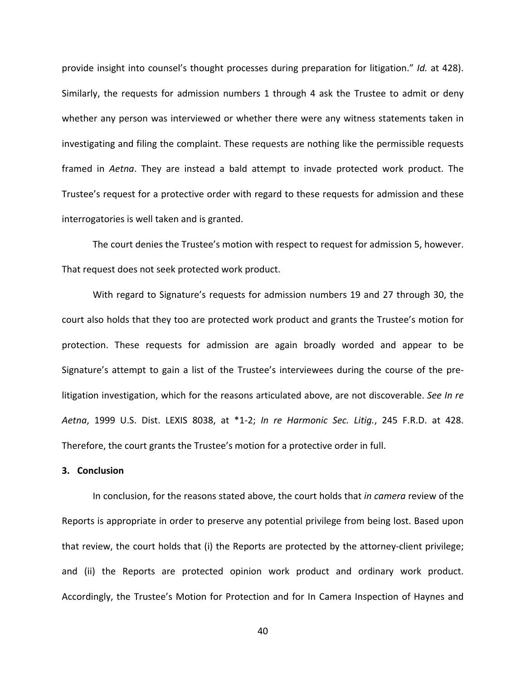provide insight into counsel's thought processes during preparation for litigation." *Id.* at 428). Similarly, the requests for admission numbers 1 through 4 ask the Trustee to admit or deny whether any person was interviewed or whether there were any witness statements taken in investigating and filing the complaint. These requests are nothing like the permissible requests framed in *Aetna*. They are instead a bald attempt to invade protected work product. The Trustee's request for a protective order with regard to these requests for admission and these interrogatories is well taken and is granted.

The court denies the Trustee's motion with respect to request for admission 5, however. That request does not seek protected work product.

With regard to Signature's requests for admission numbers 19 and 27 through 30, the court also holds that they too are protected work product and grants the Trustee's motion for protection. These requests for admission are again broadly worded and appear to be Signature's attempt to gain a list of the Trustee's interviewees during the course of the pre‐ litigation investigation, which for the reasons articulated above, are not discoverable. *See In re Aetna*, 1999 U.S. Dist. LEXIS 8038, at \*1‐2; *In re Harmonic Sec. Litig.*, 245 F.R.D. at 428. Therefore, the court grants the Trustee's motion for a protective order in full.

#### **3. Conclusion**

In conclusion, for the reasons stated above, the court holds that *in camera* review of the Reports is appropriate in order to preserve any potential privilege from being lost. Based upon that review, the court holds that (i) the Reports are protected by the attorney‐client privilege; and (ii) the Reports are protected opinion work product and ordinary work product. Accordingly, the Trustee's Motion for Protection and for In Camera Inspection of Haynes and